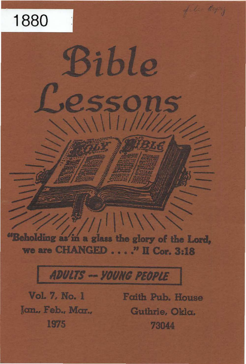# 1880

"Beholding as in a glass the glory of the Lord, we are CHANGED . . . . " II Cor. 3:18

ible

## **ADULTS -- YOUNG PEOPLE**

Vol. 7, No. 1 Jon., Feb., Mor., 1975

Faith Pub. House Guthrie, Okla. 73044

file Capy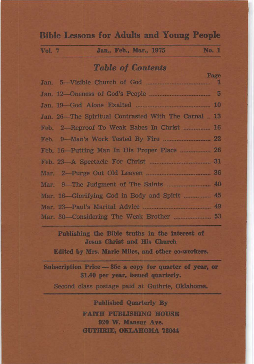## **Bible Lessons for Adults and Young People**

| Vol. 7 |  |  | Jan., Feb., Mar., 1975 |  | No. 1 |
|--------|--|--|------------------------|--|-------|
|        |  |  |                        |  |       |

## **Table of Contents**

|                                                      | <b>A GALLEY</b> |
|------------------------------------------------------|-----------------|
|                                                      |                 |
|                                                      |                 |
| Jan. 26-The Spiritual Contrasted With The Carnal  13 |                 |
| Feb. 2-Reproof To Weak Babes In Christ  16           |                 |
|                                                      |                 |
|                                                      |                 |
|                                                      |                 |
|                                                      |                 |
|                                                      |                 |
| Mar. 16-Glorifying God in Body and Spirit  45        |                 |
|                                                      |                 |
|                                                      |                 |

Publishing the Bible truths in the interest of Jesus Christ and His Church

Edited by Mrs. Marie Miles, and other co-workers.

Subscription Price - 35c a copy for quarter of year, or \$1.40 per year, issued quarterly.

Second class postage paid at Guthrie, Oklahoma.

**Published Quarterly By FAITH PUBLISHING HOUSE** 920 W. Mansur Ave. GUTHEIE, OKLAHOMA 73044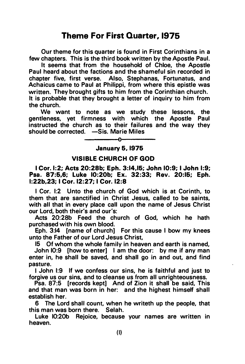## Theme For First Quarter, 1975

Our theme for this quarter is found in First Corinthians in a few chapters. This is the third book written by the Apostle Paul.

It seems that from the household of Chloe, the Apostle Paul heard about the factions and the shameful sin recorded in chapter five, first verse. Also, Stephanas, Fortunatus, and Achaicus came to Paul at Philippi, from where this epistle was written. They brought gifts to him from the Corinthian church. It is probable that they brought a letter of inquiry to him from the church.

We want to note as we study these lessons, the gentleness, yet firmness with which the Apostle Paul instructed the church as to their failures and the way they should be corrected. - Sis. Marie Miles

> $\mathbf{r}$ January 5. 1975

#### VISIBLE CHURCH OF GOD

I Cor. 1:2; Acts 20:28b; Eph. 3:14.15; John 10:9; I John 1:9; Psa. 87:5,6; Luke 10:20b; Ex. 32:33; Rev. 20:16; Eph. 1:22b.23; I Cor. 12:27; I Cor. 12:8

I Cor. 1:2 Unto the church of God which is at Corinth, to them that are sanctified in Christ Jesus, called to be saints, with all that in every place call upon the name of Jesus Christ our Lord, both their's and our's:

Acts 20:28b Feed the church of God, which he hath purchased with his own blood.

Eph. 3:14 [name of church] For this cause I bow my knees unto the Father of our Lord Jesus Christ,

15 Of whom the whole family in heaven and earth is named, John 10:9 [how to enter] I am the door: by me if any man enter in, he shall be saved, and shall go in and out, and find pasture.

I John 1:9 If we confess our sins, he is faithful and just to forgive us our sins, and to cleanse us from all unrighteousness.

Psa. 87:5 [records kept] And of Zion it shall be said, This and that man was born in her: and the highest himself shall establish her.

6 The Lord shall count, when he writeth up the people, that this man was born there. Selah.

Luke 10:20b Rejoice, because your names are written in heaven.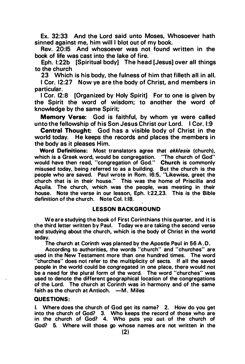Ex. 32:33 And the Lord said unto Moses, Whosoever hath sinned against me, him will I blot out of my book.

Rev. 20:15 And whosoever was not found written in the book of life was cast into the lake of fire.

Eph. 1:22b [Spiritual body] The head [Jesus] over all things to the church

23 Which is his body, the fulness of him that filleth all in all.

I Cor. 12:27 Now ye are the body of Christ, and members in particular.

I Cor. 12:8 [Organized by Holy Spirit] For to one is given by the Spirit the word of wisdom; to another the word of knowledge by the same Spirit;

Memory Verse: God is faithful, by whom ye were called unto the fellowship of his Son Jesus Christ our Lord. I Cor. 1:9

Central Thought: God has a visible body of Christ in the world today. He keeps the records and places the members in the body as it pleases Him.

Word Definitions: Most translators agree that ekklesia (church), which is a Greek word, would be congregation. ''The church of God" would have then read, "congregation of God." Church is commonly misused today, being referred to as a building. But the church is the people who are saved. Paul wrote in Rom. 16:5, "Likewise, greet the church that is in their house." This was the home of Priscilla and Aquila. The church, which was the people, was meeting in their house. Note the verse in our lesson, Eph. 1:22,23. This is the Bible definition of the church. Note Col. 1:18.

#### LESSON BACKGROUND

We are studying the book of First Corinthians this quarter, and it is the third letter written by Paul. Today we are taking the second verse and studying about the church, which is the body of Christ in the world today.

The church at Corinth was planted by the Apostle Paul in 56 A.D.

According to authorities, the words "church" and "churches" are used in the New Testament more than one hundred times. The word "churches" does not refer to the multiplicity of sects. If all the saved people in the world could be congregated in one place, there would not be a need for the plural form of the word. The word "churches" was used to denote the different geographical location of the congregations of the Lord. The church at Corinth was in harmony and of the same faith as the church at Antioch.  $-M$ . Miles

#### QUESTIONS:

I. Where does the church of God get its name? 2. How do you get into the church of God? 3. Who keeps the record of those who are in the church of God? 4. Who puts you out of the church of God? 5. Where will those go whose names are not written in the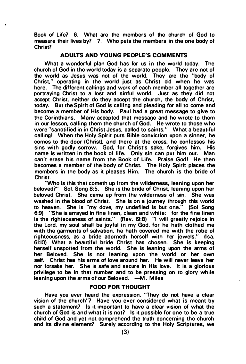Book of Life? 6. What are the members of the church of God to measure their lives by? 7. Who puts the members in the one body of Christ?

#### ADULTS AND YOUNG PEOPLE'S COMMENTS

What a wonderful plan God has for us in the world today. The church of God in the world today is a separate people. They are not of the world as Jesus was not of the world. They are the "body of Christ," operating in the world just as Christ did when he was here. The different callings and work of each member all together are portraying Christ to a lost and sinful world. Just as they did not accept Christ, neither do they accept the church, the body of Christ, today. But the Spirit of God is calling and pleading for all to come and become a member of His body. Paul had a great message to give to the Corinthians. Many accepted that message and he wrote to them in our lesson, calling them the church of God. He wrote to those who were "sanctified in in Christ Jesus, called to saints." What a beautiful calling! When the Holy Spirit puts Bible conviction upon a sinner, he comes to the door (Christ); and there at the cross, he confesses his sins with godly sorrow. God, for Christ's sake, forgives him. His name is written in the book of life. Only sin can put him out. Man can't erase his name from the Book of Life. Praise God! He then becomes a member of the body of Christ. The Holy Spirit places the members in the body as it pleases Him. The church is the bride of Christ.

'Who is this that cometh up from the wilderness, leaning upon her beloved?" Sol. Song 8:5. She is the bride of Christ, leaning upon her beloved Christ. She came up from the wilderness of sin. She was washed in the blood of Christ. She is on a journey through this world to heaven. She is "my dove, my undefiled is but one." (Sol Song 6:9) "She is arrayed in fine linen, clean and white: for the fine linen is the righteousness of saints." (Rev. 19:8) "I will greatly rejoice in the Lord, my soul shall be joyful in my God, for he hath clothed me with the garments of salvation, he hath covered me with the robe of righteousness, as a bride adorneth herself with her jewels." (Isa. 61:10) What a beautiful bride Christ has chosen. She is keeping herself unspotted from the world. She is leaning upon the arms of her Beloved. She is not leaning upon the world or her own self. Christ has his arms of love around her. He will never leave her nor forsake her. She is safe and secure in His love. It is a glorious privilege to be in that number and to be pressing on to glory while leaning upon the arms of our Beloved.  $-M$ . Miles

#### FOOD FOR THOUGHT

Have you ever heard the expression, "They do not have a clear vision of the church"? Have you ever considered what is meant by such a statement? Is it important to have a clear vision of what the church of God is and what it is not? Is it possible for one to be a true child of God and yet not comprehend the truth concerning the church and its divine element? Surely according to the Holy Scriptures, we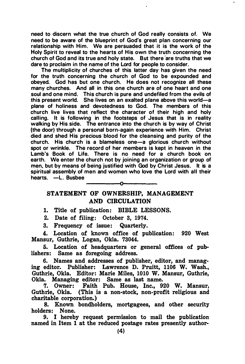need to discern what the true church of God really consists of. We need to be aware of the blueprint of God's great plan concerning our relationship with Him. We are persuaded that it is the work of the Holy Spirit to reveal to the hearts of His own the truth concerning the church of God and its true and holy state. But there are truths that we dare to proclaim in the name of the Lord for people to consider.

The multiplicity of churches of this latter day has given the need for the truth concerning the church of God to be expounded and obeyed. God has but one church. He does not recognize all these many churches. And all in this one church are of one heart and one soul and one mind. This church is pure and undefiled from the evils of this present world. She lives on an exalted plane above this world—a plane of holiness and devotedness to God. The members of this church live lives that reflect the character of their high and holy calling. It is following in the footsteps of Jesus that is in reality walking by His side. The entrance into the church is by way of Christ (the door) through a personal born-again experience with Him. Christ died and shed His precious blood for the cleansing and purity of the church. His church is a blameless one-a glorious church without spot or wrinkle. The record of her members is kept in heaven in the Lamb's Book of Life. There is no need for a church book on earth. We enter the church not by joining an organization or group of men, but by means of being justified with God by Christ Jesus. It is a spiritual assembly of men and women who love the Lord with all their hearts. -L. Busbee

#### STATEMENT OF OWNERSHIP, MANAGEMENT AND CIRCULATION

1. Title of publication: BIBLE LESSONS.

2. Date of filing: October 3, 1974.

3. Frequency of issue: Quarterly.

4. Location of known office of publication: 920 West Mansur, Guthrie, Logan, Okla. 73044.

5. Location of headquarters or general offices of publishers: Same as foregoing address.

6. Names and addresses of publisher, editor, and managing editor. Publisher: Lawrence D. Pruitt, 1106 W. Wash., Guthrie, Okla. Editor: Marie Miles, 1010 W. Mansur, Guthrie, Okla. Managing editor: Same as last name.

7. Owner: Faith Pub. House, Inc., 920 W. Mansur, Guthrie, Okla. (This is a non-stock, non-profit religious and charitable corporation.)

8. Known bondholders, mortgagees, and other security holders: None.

9. I hereby request permission to mail the publication named in Item 1 at the reduced postage rates presently author-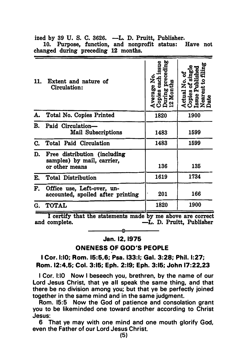| www.southerman.com/                                             |                                                                                         |                                                                                   |  |  |  |
|-----------------------------------------------------------------|-----------------------------------------------------------------------------------------|-----------------------------------------------------------------------------------|--|--|--|
| Extent and nature of<br>Circulation:                            | ring preceding<br>Months<br>opies                                                       | Actual No. of<br>Copies of single<br>Issue Published<br>Nearest to filing<br>Date |  |  |  |
|                                                                 | 1820                                                                                    | 1900                                                                              |  |  |  |
| Mail Subscriptions                                              | 1483                                                                                    | 1599                                                                              |  |  |  |
| Total Paid Circulation                                          | 1483                                                                                    | 1599                                                                              |  |  |  |
| samples) by mail, carrier,<br>or other means                    | 136                                                                                     | 135                                                                               |  |  |  |
| <b>Total Distribution</b>                                       | 1619                                                                                    | 1734                                                                              |  |  |  |
| Office use, Left-over, un-<br>accounted, spoiled after printing | 201                                                                                     | 166                                                                               |  |  |  |
| <b>TOTAL</b>                                                    | 1820                                                                                    | 1900                                                                              |  |  |  |
|                                                                 | 11.<br>A. Total No. Copies Printed<br>Paid Circulation-<br>Free distribution (including | Average No.<br>Conic                                                              |  |  |  |

ized by 39 U. S. C. 3626. -L. D. Pruitt, Publisher. 10. Purpose, function, and nonprofit status: Have not changed during preceding 12 months.

I certify that the statements made by me above are correct and complete.  $-$ L. D. Pruitt. Publisher -L. D. Pruitt, Publisher  $\sim$ 

## Jan. 12, 1975

ONENESS OF GOD'S PEOPLE

#### I Cor. 1:10; Rom. 15:5,6; Psa. 133:1; Gal. 3:28; Phil. 1:27; Rom. 12:4,5; Col. 3:15; Eph. 2:19; Eph. 3:15; John 17:22,23

I Cor. 1:10 Now I beseech you, brethren, by the name of our Lord Jesus Christ, that ye all speak the same thing, and that there be no division among you; but that ye be perfectly joined together in the same mind and in the same judgment.

Rom. 15:5 Now the God of patience and consolation grant you to be likeminded one toward another according to Christ Jesus:

6 That ye may with one mind and one mouth glorify God, even the Father of our Lord Jesus Christ.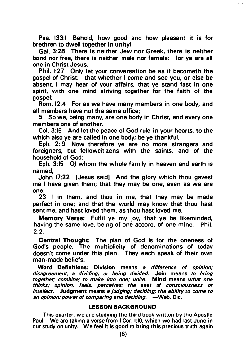Psa. 133:1 Behold, how good and how pleasant it is for brethren to dwell together in unityl

Gal. 3:28 There is neither Jew nor Greek, there is neither bond nor free, there is neither male nor female: for ye are all one in Christ Jesus.

Phil. 1:27 Only let your conversation be as it becometh the gospel of Christ: that whether I come and see you, or else be absent, I may hear of your affairs, that ye stand fast in one spirit, with one mind striving together for the faith of the gospel;

Rom. 12:4 For as we have many members in one body, and all members have not the same office;

5 So we, being many, are one body in Christ, and every one members one of another.

Col. 3:15 And Jet the peace of God rule in your hearts, to the which also ye are called in one body; be ye thankful.

Eph. 2:19 Now therefore ye are no more strangers and foreigners, but fellowcitizens with the saints, and of the household of God;

Eph. 3:15 Of whom the whole family in heaven and earth is named,

John 17:22 [Jesus said] And the glory which thou gavest me I have given them; that they may be one, even as we are one:

23 I in them, and thou in me, that they may be made perfect in one; and that the world may know that thou hast sent me, and hast loved them, as thou hast loved me.

Memory Verse: Fulfil ye my joy, that ye be likeminded, having the same love, being of one accord, of one mind. Phil. 2:2.

Central Thought: The plan of God is for the oneness of God's people. The multiplicity of denominations of today doesn't come under this plan. They each speak of their own man-made beliefs.

Word Definitions: Division means a difference of opinion: disagreement; a dividing; or being divided. Join means to bring together; combine; to make into one; unite. Mind means what one thinks; opinion. feels. perceives: the seat of consciousness or intellect. Judgment means a judging; deciding: the ability to come to an opinion: power of comparing and deciding.  $\overline{\phantom{a}}$  -Web. Dic.

#### LESSON BACKGROUND

This quarter, we are studying the third book written by the Apostle Paul. We are taking a verse from I Cor. 1:10, which we had last June in our study on unity. We feel it is good to bring this precious truth again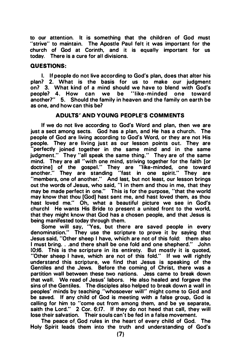to our attention. It is something that the children of God must "strive" to maintain. The Apostle Paul felt it was important for the church of God at Corinth, and it is equally important for us today. There is a cure for all divisions.

#### QUESTIONS:

I. If people do not live according to God's plan. does that alter his plan? 2. What is the basis for us to make our judgment on? 3. What kind of a mind should we have to blend with God's people? 4. How can we be "like-minded one toward another?" 5. Should the family in heaven and the family on earth be as one, and how can this be?

#### ADULTS' AND YOUNG PEOPLE'S COMMENTS

If we do not live according to God's Word and plan. then we are just a sect among sects. God has a plan, and He has a church. The people of God are living according to God's Word. or they are not His people. They are living just as our lesson points out. They are "perfectly joined together in the same mind and in the same<br>judgment." They "all speak the same thing." They are of the same They "all speak the same thing." They are of the same mind. They are all "with one mind, striving together for the faith [or doctrine] of the gospel.'' They are ''like-minded, one toward another." They are standing "fast in one spirit." They are "members, one of another." And last, but not least, our lesson brings out the words of Jesus. who said, "I in them and thou in me, that they may be made perfect in one." This is for the purpose, "that the world may know that thou [God] hast sent me, and hast loved them. as thou hast loved me." Oh, what a beautiful picture we see in God's churchl He wants His Bride to present a united front to the world, that they might know that God has a chosen people, and that Jesus is being manifested today through them.

Some will say. "Yes, but there are saved people in every denomination." They use the scripture to prove it by saying that Jesus said, "Other sheep I have, which are not of this fold: them also I must bring. . .and there shall be one fold and one shepherd." John 10:16. This is the scripture in its entirety. But mostly it is quoted, "Other sheep I have. which are not of this fold." If we will rightly understand this scripture, we find that Jesus is speaking of the Gentiles and the Jews. Before the coming. of Christ, there was a partition wall between these two nations. Jess came to break down that wall. We read of Jesus' labors. He also healed and forgave the sins of the Gentiles. The disciples also helped to break down a wall in peoples' minds by teaching. "whosoever will" might come to God and be saved. If any child of God is meeting with a false group, God is calling for him to "come out from among them, and be ye separate, saith the Lord." 2 Cor. 6:17. If they do not heed that call, they will lose their salvation. Their souls can't be fed in a false movement.

The peace of. God rules in the heart of every child of God. The Holy Spirit leads them into the truth and understanding of God's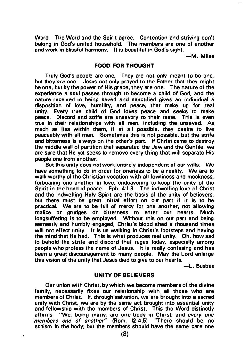Word. The Word and the Spirit agree. Contention and striving don't belong in God's united household. The members are one of another and work in blissful harmonv. It is beautiful in God's sight.

-M . Miles

#### FOOD FOR THOUGHT

Truly God's people are one. They are not only meant to be one, but they are one. Jesus not only prayed to the Father that they might be one, but by the power of His grace, they are one. The nature of the experience a soul passes through to become a child of God, and the nature received in being saved and sanctified gives an individual a disposition of love, humility, and peace, that make up for real unity. Every true child of God loves peace and seeks to make peace. Discord and strife are unsavory to their taste. This is even true in their relationships with all men, including the unsaved. As much as lies within them, if at all possible, they desire to live peaceably with all men. Sometimes this is not possible, but the strife and bitterness is always on the other's part. If Christ came to destroy the middle wall of partition that separated the Jew and the Gentile, we are sure that He yet seeks to remove every thing that will separate His people one from another.

But this unity does not work entirely independent of our wills. We have something to do in order for oneness to be a reality. We are to walk worthy of the Christian vocation with all lowliness and meekness, forbearing one another in love, endeavoring to keep the unity of the Spirit in the bond of peace. Eph. 4:1-3. The indwelling love of Christ and the indwelling Holy Spirit are the basis of the unity of believers, but there must be great initial effort on our part if it is to be practical. We are to be full of mercy for one another, not allowing malice or grudges or bitterness to enter our hearts. Much longsuffering is to be employed. Without this on our part and being earnestly and humbly engaged, Christ's blood shed a thousand times will not effect unity. It is us walking in Christ's footsteps and having the mind that He had. This is what produces real unity. Oh, how sad to behold the strife and discord that rages today, especially among people who profess the name of Jesus. It is really confusing and has been a great discouragement to many people. May the Lord enlarge this vision of the unity that Jesus died to give to our hearts.

-L. Busbee

#### UNITY OF BELIEVERS

Our union with Christ, by which we become members of the divine family, necessarily fixes our relationship with all those who are members of Christ. If, through salvation, we are brought into a sacred unity with Christ, we are by the same act brought into essential unity and fellowship with the members of Christ. This the Word distinctly affirms: "We, being many, are one body in Christ, and every one members one of another" (Rom. 12:4,5). ''There should be no schism in the body; but the members should have the same care one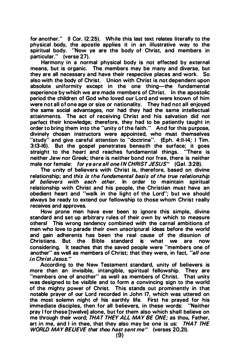for another." (I Cor. 12:25). While this last text relates literally to the physical body, the apostle applies it in an illustrative way to the spiritual body. "Now ye are the body of Christ, and members in particular." (verse 27).

Harmony in a normal physical body is not effected by external means, but is organic. The members may be many and diverse, but they are all necessary and have their respective places and work. So also with the body of Christ. Union with Christ is not dependent upon absolute uniformity except in the one thing-the fundamental experience by which we are made members of Christ. In the apostolic period the children of God who loved our Lord and were known of him were not all of one age or size or nationality. They had not all enjoyed the same social advantages, nor had they had the same intellectual attainments. The act of receiving Christ and his salvation did not perfect their knowledge; therefore, they had to be patiently taught in order to bring them into the "unity of the faith." And for this purpose, divinely chosen instructors were appointed, who must themselves "study" and give careful attention to "doctrine". (Eph. 4:11-14; I Tim. 3:13-16). But the gospel penetrates beneath the surface; it goes straight to the heart and reaches fundamental things. neither Jew nor Greek; there is neither bond nor free, there is neither male nor female: for ye are all one IN CHRIST JESUS" (Gal. 3:28).

The unity of believers with Christ is, therefore, based on divine relationship; and this is the fundamental basis of the true relationship of believers with each other. In order to maintain spiritual relationship with Christ and his people, the Christian must have an obedient heart and "walk in the light of the Lord"; but we should always be ready to extend our fellowship to those whom Christ really receives and approves.

How prone men have ever been to ignore this simple, divine standard and set up arbitrary rules of their own by which to measure others! This wrong tendency combined with the carnal ambitions of men who love to parade their own unscriptural ideas before the world and gain adherents has been the real cause of the disunion of<br>Christians, But, the Bible, standard, is, what, we are now  $Christians.$  But the Bible standard is what we considering. It teaches that the saved people were "members one of another" as well as members of Christ; that they were, in fact, "all one in Christ Jesus."

According to the New Testament standard, unity of believers is more than an invisible, intangible, spiritual fellowship. They are "members one of another" as well as members of Christ. That unity was designed to be visible and to form a convincing sign to the world of the mighty power of Christ. This stands out prominently in that notable prayer of our Lord recorded in John 17, which was uttered on the most solemn night of his earthly life. First he prayed for his immediate disciples, then for all believers, in these words: "Neither pray I for these [twelve] alone, but for them also which shall believe on me through their word; THAT THEY ALL MAY BE ONE; as thou, Father, art in me, and I in thee, that they also may be one is us:  $THAT THE$ WORLD MAY BELIEVE that thou hast sent me" (verses 20,21).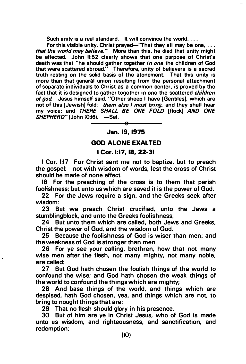Such unity is a real standard. It will convince the world....

For this visible unity, Christ prayed—"That they all may be one,  $\dots$ that the world may believe." More than this, he died that unity might be effected. John 11:52 clearly shows that one purpose of Christ's death was that "he should gather together *in one* the children of God<br>that were scattered abroad." Therefore, unity of believers is a sacred Therefore, unity of believers is a sacred truth resting on the solid basis of the atonement. That this unity is more than that general union resulting from the personal attachment of separate individuals to Christ as a common center, is proved by the fact that it is designed to gather together in one the scattered *children* of god. Jesus himself said, "Other sheep I have [Gentiles], which are not of this [Jewish] fold: them also I must bring, and they shall hear my voice; and THERE SHALL BE ONE FOLD [flock] AND ONE SHEPHERD" (John 10:16). -Sel.

#### Jan. 19, 1976

#### GOD ALONE EXALTED

#### I Cor. 1:17, 18, 22-31

I Cor. 1:17 For Christ sent me not to baptize, but to preach the gospel: not with wisdom of words, lest the cross of Christ should be made of none effect.

18 For the preaching of the cross is to them that perish foolishness; but unto us which are saved it is the power of God.

22 For the Jews require a sign, and the Greeks seek after wisdom:

23 But we preach Christ crucified, unto the Jews a stumblingblock, and unto the Greeks foolishness;

24 But unto them which are called, both Jews and Greeks, Christ the power of God, and the wisdom of God.

25 Because the foolishness of God is wiser than men; and the weakness of God is stronger than men.

26 For ye see your calling, brethren, how that not many wise men after the flesh, not many mighty, not many noble, are called:

27 But God hath chosen the foolish things of the world to confound the wise; and God hath chosen the weak things of the world to confound the things which are mighty;

28 And base things of the world, and things which are despised, hath God chosen, yea, and things which are not, to bring to nought things that are:

29 That no flesh should glory in his presence.

30 But of him are ye in Christ Jesus, who of God is made unto us wisdom, and righteousness, and sanctification, and redemption: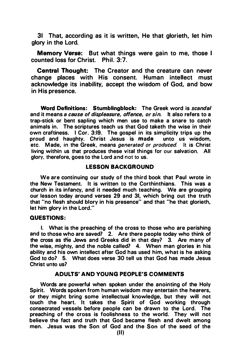31 That, according as it is written, He that glorieth, let him glory in the Lord.

Memory Verse: But what things were gain to me, those I counted loss for Christ. Phil. 3:7.

Central Thought: The Creator and the creature can never change places with His consent. Human intellect must acknowledge its inability, accept the wisdom of God, and bow in His presence.

Word Definitions: Stumblingblock: The Greek word is scandal and it means a cause of displeasure, offence, or sin. It also refers to a trap-stick or bent sapling which men use to make a snare to catch animals in. The scriptures teach us that God taketh the wise in their own craftiness. I Cor. 3:19. The gospel in its simplicity trips up the proud and haughty. Christ Jesus is made unto us wisdom, etc. Made, in the Greek, means *generated or produced*. It is Christ living within us that produces these vital things for our salvation. All glory, therefore, goes to the Lord and not to us.

#### LESSON BACKGROUND

We are continuing our study of the third book that Paul wrote in the New Testament. It is written to the Corthinthians. This was a church in its infancy, and it needed much teaching. We are grouping our lesson today around verses 29 and 31, which bring out the truth that "no flesh should blory in his presence" and that "he that glorieth, let him glory in the Lord."

#### QUESTIONS:

I. What is the preaching of the cross to those who are perishing and to those who are saved? 2. Are there people today who think of the cross as the Jews and Greeks did in that day? 3. Are many of the wise, mighty, and the noble called? 4. When man glories in his ability and his own intellect after God has used him, what is he asking God to do? 5. What does verse 30 tell us that God has made Jesus Christ unto us?

#### ADULTS' AND YOUNG PEOPLE'S COMMENTS

Words are powerful when spoken under the anointing of the Holy Spirit. Words spoken from human wisdom may entertain the hearers, or they might bring some intellectual knowledge, but they will not touch the heart. It takes the Spirit of God working through consecrated vessels before people can be drawn to the Lord. The preaching of the cross is foolishness to the world. They will not believe the fact and truth that God became flesh and dwelt among men. Jesus was the Son of God and the Son of the seed of the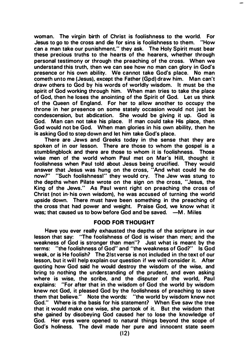woman. The virgin birth of Christ is foolishness to the world. For Jesus to go to the cross and die for sins is foolishness to them. "How can a man take our punishment." they ask. The Holy Spirit must bear these precious truths to the hearts of the hearers, whether through personal testimony or through the preaching of the cross. When we understand this truth, then we can see how no man can glory in God's presence or his own ability. We cannot take God's place. No man cometh unto me (Jesus), except the Father (Gpd) draw him. Man can't draw others to God by his words of worldly wisdom. It must be the spirit of God working through him. When man tries to take the place of God, then he loses the anointing of the Spirit of God. Let us think of the Queen of England. For her to allow another to occupy the throne in her presence on some stately occasion would not just be condescension, but abdication. She would be giving it up. God is God. Man can not take his place. If man could take His place, then God would not be God. When man glories in his own ability, then he is asking God to step down and let him take God's place.

There are Jews and Greeks today in the sense that they are spoken of in our lesson. There are those to whom the gospel is a stumblingblock and there are those to whom it is foolishness. Those wise men of the world whom Paul met on Mar's Hill, thought it foolishness when Paul told about Jesus being crucified. They would answer that Jesus was hung on the cross, "And what could he do now?" "Such foolishness!" they would cry. The Jew was stung to the depths when Pilate wrote on the sign on the cross, "Jesus, the King of the Jews." As Paul went right on preaching the cross of Christ (not in- his own wisdom), he was accused of turning the world upside down. There must have been something in the preaching of the cross that had power and weight. Praise God, we know what it was; that caused us to bow before God and be saved.  $-M$ . Miles

#### FOOD FOR THOUGHT

Have you ever really exhausted the depths of the scripture in our lesson that say: ''The foolishness of God is wiser than men; and the weakness of God is stronger than men"? Just what is meant by the terms: "the foolishness of God" and "the weakness of God?" Is God weak, or is He foolish? The 21st verse is not included in the text of our lesson, but it will help explain our question if we will consider it. After quoting how God said he would destroy the wisdom of the wise, and bring to nothing the understanding of the prudent, and even asking where is wise, the scribe, and the disputer of the world, Paul explains: "For after that in the wisdom of God the world by wisdom knew not God, it pleased God by the foolishness of preaching to save them that believe." Note the words: "the world by wisdom knew not God." Where is the basis for his statement? When Eve saw the tree that it would make one wise, she partook of it. But the wisdom that she gained by disobeying God caused her to lose the knowledge of God. Her eyes were opened to natural things beyond the scope of God's holiness. The devil made her pure and innocent state seem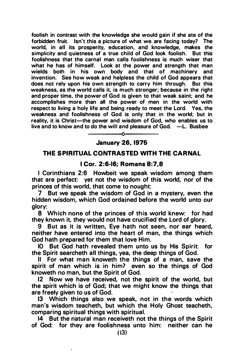foolish in contrast with the knowledge she would gain if she ate of the forbidden fruit. Isn't this a picture of what we are facing today? The world. in all its prosperity, education. and knowledge, makes the simplicity and quietness of a true child of God look foolish. But this foolishness that the carnal man calls foolishness is much wiser that what he has of himself. Look at the power and strength that man wields both in his own body and that of machinery and invention. See how weak and helpless the child of God appears that does not rely upon his own strength to carry him through. But this weakness, as the world calls it. is much stronger; because in the right and proper time, the power of God is given to that weak saint; and he accomplishes more than all the power of men in the world with respect to living a holy life and being ready to meet the Lord. Yes, the weakness and foolishness of God is only that in the world; but in reality, it is Christ-the power and wisdom of God, who enables us to live and to know and to do the will and pleasure of God.  $\;\;\;-$ L. Busbee

> ---------0--------- January 26. 1975

#### THE SPIRITUAL CONTRASTED WITH THE CARNAL

#### I Cor. 2:6-16; Romans 8:7.8

I Corinthians 2:6 Howbeit we speak wisdom among them that are perfect: yet not the wisdom of this world, nor of the princes of this world, that come to nought:

7 But we speak the wisdom of God in a mystery, even the hidden wisdom, which God ordained before the world unto our glory:

8 Which none of the princes of this world knew: for had they known it. they would not have crucified the Lord of glory.

9 But as it is written, Eye hath not seen, nor ear heard, neither have entered into the heart of man, the things which God hath prepared for them that love Him.

10 But God hath revealed them unto us by His Spirit: for the Spirit searcheth all things, yea, the deep things of God.

II For what man knoweth the things of a man, save the spirit of man which is in him? even so the things of God knoweth no man, but the Spirit of God.

12 Now we have received, not the spirit of the world, but the spirit which is of God; that we might know the things that are freely given to us of God.

13 Which things also we speak, not in the words which man's wisdom teacheth, but which the Holy Ghost teacheth, comparing spiritual things with spiritual.

14 But the natural man receiveth not the things of the Spirit of God: for they are foolishness unto him: neither can he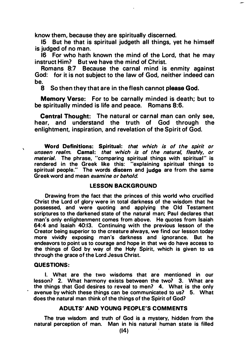know them, because they are spiritually discerned.

15 But he that is spiritual judgeth all things, yet he himself is judged of no man.

16 For who hath known the mind of the Lord, that he may instruct Him? But we have the mind of.Christ.

Romans 8:7 Because the carnal mind is enmity against God: for it is not subject to the law of God, neither indeed can be.

8 So then they that are in the flesh cannot please God.

Memory Verse: For to be carnally minded is death; but to be spiritually minded is life and peace. Romans 8:6.

Central Thought: The natural or carnal man can only see, hear, and understand the truth of God through the enlightment, inspiration, and revelation of the Spirit of God.

Word Definitions: Spiritual: that which is of the spirit or unseen realm. Carnal: that which is of the natural, fleshly, or material. The phrase, "comparing spiritual things with spiritual" is rendered in the Greek like this: "explaining spiritual things to spiritual people." The words discern and judge are from the same Greek word and mean examine or behold

#### LESSON BACKGROUND

Drawing from the fact that the princes of this world who crucified Christ the Lord of glory were in total darkness of the wisdom that he possessed, and were quoting and applying the Old Testament scriptures to the darkened state of the natural man; Paul declares that man's only enlightenment comes from above. He quotes from Isaiah 64:4 and Isaiah 40:13. Continuing with the previous lesson of the Creator being superior to the creature always, we find our lesson today more vividly exposing man's darkness and ignorance. But he endeavors to point us to courage and hope in that we do have access to the things of God by way of the Holy Spirit, which is given to us through the grace of the Lord Jesus Christ.

#### QUESTIONS:

 $\boldsymbol{\lambda}$ 

I. What are the two wisdoms that are mentioned in our lesson? 2. What harmony exists between the two? 3. What are the things that God desires to reveal to men? 4. What is the only avenue by which these things can be communicated to us? 5. What does the natural man think of the things of the Spirit of God?

#### ADULTS' AND YOUNG PEOPLE'S COMMENTS

The true wisdom and truth of God is a mystery, hidden from the natural perception of man. Man in his natural human state is filled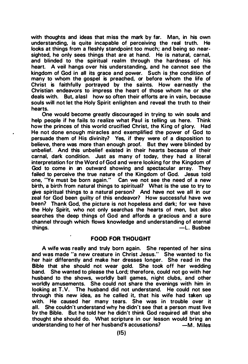with thoughts and ideas that miss the mark by far. Man, in his own understanding, is quite incapable of perceiving the real truth. He looks at things from a fleshly standpoint too much; and being so nearsighted, he only sees things that are at hand. He is natural, carnal, and blinded to the spiritual realm through the hardness of his heart. A veil hangs over his understanding, and he cannot see the kingdom of God in all its grace and power. Such is the condition of many to whom the gospel is preached, or before w'hom the life of Christ is faithfully portrayed by the saints. How earnestly the Christian endeavors to impress the heart of those whom he or she deals with. But, a lasl how so often their efforts are in vain, because souls will not let the Holy Spirit enlighten and reveal the truth to their hearts.

One would become greatly discouraged in trying to win souls and help people if he fails. to realize what Paul is telling us here. Think how the princes of this world crucified Christ, the King of glory. Had He not done enough miracles and exemplified the power of God to persuade them of His divinity? Yes, if they were of a disposition to believe, there was more than enough proof. But they were blinded by unbelief. And this unbelief existed in their hearts because of their carnal, dark condition. Just as many of today, they had a literal interpretation for the Word of God and were looking for the Kingdom of God to come in an outward showing and spectacular array. They failed to perceive the true nature of the Kingdom of God. Jesus told one, "Ye must be born again." Can we not see the need of a new birth, a birth from natural things to spiritual? What is the use to try to give spiritual things to a natural person? And have not we all in our zeal for God been guilty of this endeavor? How successful have we been? Thank God, the picture is not hopeless and dark; for we have the Holy Spirit, who not only searches the hearts of men, but also searches the deep things of God and affords a gracious and a sure channel through which flows knowledge and understanding of eternal  $-L.$  Busbee

#### FOOD FOR THOUGHT

A wife was really and truly born again. She repented of her sins and was made "a new creature in Christ Jesus." She wanted to fix her hair differently and make her dresses longer. She read in the Bible that she should not wear gold. She took off her wedding band. She wanted to please the Lord; therefore, could not go with her husband to the shows, worldly ball games, night clubs, and other worldly amusements. She could not share the evenings with him in looking at T.V. The husband did not understand. He could not see through this new idea, as he called it, that his wife had taken up with. He caused her many tears. She was in trouble over it all. She couldn't understand why he didn't see that a person must live by the Bible. But he told her he didn't think God required all that she thought she should do. What scripture in our lesson would bring an understanding to her of her husband's accusations? – M. Miles understanding to her of her husband's accusations?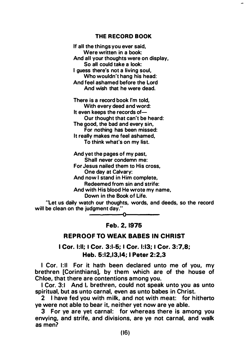#### THE RECORD BOOK

If all the things you ever said, Were written in a book: And all your thoughts were on display, So all could take a look: I guess there's not a living soul. Who wouldn't hang his head: And feel ashamed before the Lord And wish that he were dead.

There is a record book I'm told, With every deed and word: It even keeps the records of-Our thought that can't be heard: The good, the bad and every sin, For nothing has been missed: It really makes me feel ashamed, To think what's on my list.

And yet the pages of my past, Shall never condemn me: For Jesus nailed them to His cross, One day at Calvary: And now I stand in Him complete, Redeemed from sin and strife: And with His blood He wrote my name, Down in the Book of Life.

"Let us daily watch our thoughts, words, and deeds, so the record will be clean on the judgment day."

Feb. 2, 1975

#### REPROOF TO WEAK BABES IN CHRIST

I Cor. 1:11; I Cor. 3:1-5; I Cor. 1:13; I Cor. 3:7,8; Heb. 5:12,13,14; I Peter 2:2,3

I Cor. 1:11 For it hath been declared unto me of you, my brethren [Corinthians], by them which are of the house of Chloe, that there are contentions among you.

I Cor. 3:1 And I, brethren, could not speak unto you as unto spiritual, but as unto carnal, even as unto babes in Christ.

2 I have fed you with milk, and not with meat: for hitherto ye were not able to bear it, neither yet now are ye able.

3 For ye are yet carnal: for whereas there is among you envying, and strife, and divisions, are ye not carnal, and walk as men?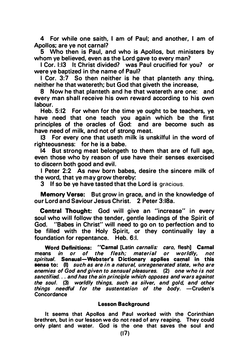4 For while one saith, I am of Paul; and another, I am of Apollos; are ye not carnal?

5 Who then is Paul, and who is Apollos, but ministers by whom ye believed, even as the Lord gave to every man?

I Cor. 1:13 It Christ divided? was Paul crucified for you? or were ye baptized in the name of Paul?

I Cor. 3:7 So then neither is he that planteth any thing, neither he that watereth; but God that giveth the increase,

8 Now he that planteth and he that watereth are one: and every man shall receive his own reward according to his own labour.

Heb. 5:12 For when for the time ye ought to be teachers, ye have need that one teach you again which be the first principles of the oracles of God: and are become such as have need of milk, and not of strong meat.

13 For every one that useth milk is unskilful in the word of righteousness: for he is a babe.

14 But strong meat belongeth to them that are of full age, even those who by reason of use have their senses exercised to discern both good and evil.

I Peter 2:2 As new born babes, desire the sincere milk of the word, that ye may grow thereby:

3 If so be ye have tasted that the Lord is gracious.

Memory Verse: But grow in grace, and in the knowledge of our Lord and Saviour Jesus Christ. 2 Peter 3:18a.

Central Thought: God will give an "increase" in every soul who will follow the tender, gentle leadings of the Spirit of God. "Babes in Christ" will need to go on to perfection and to be filled with the Holy Spirit, or they continually lay a foundation for repentance. Heb. 6:1.

Word Definitions: "Carnal [Latin *carnalis: caro, flesh*] Carnal<br>Ins *in or of the flesh: material or worldly, not* means in or of the flesh; material or worldly, spiritual. Sensual-Webster's Dictionary applies carnal in this sense to: (I) such as are in a natural, unregenerated state, who are enemies of God and given to sensual pleasures. (2) one who is not sanctified. .. and has the sin principle which opposes and wars against the soul. (3) worldly things. such as silver, and gold, and other things needful for the sustentation of the body.  $-$ Cruden's **Concordance** 

#### Lesson Background

It seems that Apollos and Paul worked with the Corinthian brethren, but in our lesson we do not read of any reaping. They could only plant and water. God is the one that saves the soul and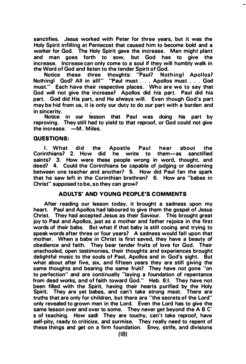sanctifies. Jesus worked with Peter for three years, but it was the Holy Spirit infilling at Pentecost that caused him to become bold and a worker for God. The Holy Spirit gave the increase. Man might plant and man goes forth to sow, but God has to give the increase. Increase can only come to a soul if they will humbly walk in the Word of God and listen to the tender Spirit of God.

Notice these three thoughts: "Paul? Nothing! God? All in alii" "Paul must ... Apollos must . . . God must." Each have their respective places. Who are we to say that God will not give the increase? Apollos did his part. Paul did his part. God did His part, and He always will. Even though God's part may be hid from us, it is only our duty to do our· part with a burden and in sincerity. .

Notice in our lesson that Paul was doing his part by reproving. They still had to yield to that reproof, or God could not give  $the increase -M$  Miles

#### QUESTIONS:

I. What did the Apostle Paul hear about the<br>inthians? 2. How did he write to them—as sanctified Corinthians? 2. How did he write to saints? 3. How were these people wrong in word, thought, and deed? 4. Could the Corinthians be capable of judging or discerning between one teacher and another? 5. How did Paul fan the spark that he saw left in the Corinthian brethren? 6. How are "babes in Christ" supposed to be, so they can grow?

#### ADULTS' AND YOUNG PEOPLE'S COMMENTS

After reading our lesson today, it brought a sadness upon my heart. Paul and Apollos had laboured to give them the gospel of Jesus Christ. They had accepted Jesus as their Saviour. This brought great joy to Paul and Apollos, just as a mother and father rejoice in the first words of their babe. But what if that baby is still cooing and trying to speak words after three or four years? A sadness would fall upon that mother. When a babe in Christ is first saved, they have a beauty of obedience and faith. They bear tender fruits of love for God. Their unschooled, open testimonies, their thoughts and experiences brought delightful music to the souls of Paul, Apollos and in God's sight. But what about after five, six, and fifteen years they are still giving the same thoughts and bearing the same fruit? They have not gone "on to perfection" and are continually "laying a foundation of repentance from dead works, and of faith toward God." Heb. 6:I. They have not been filled with the Spirit, having their hearts purified by the Holy Spirit. They are yet babes, and can't take strong meat. There are truths that are only for children, but there are "the secrets of the Lord" only revealed to grown men in the Lord. Even the Lord has to give the same lesson over and over to some. They never get beyond the A B C' s of teaching. How sadl They are touchy, can't take reproof, have self-pity, ready to criticize, and surmise. They really need to repent of these things and get on a firm foundation. Envy, strife, and divisions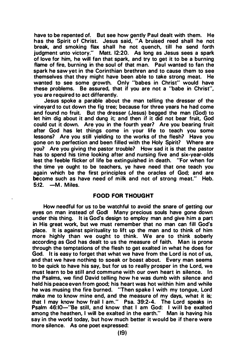have to be repented of. But see how gently Paul dealt with them. He has the Spirit of Christ. Jesus said, "A bruised reed shall he not break, and smoking flax shall he not quench, till he send forth judgment unto victory." Matt. 12:20. As long as Jesus sees a spark of love for him, he will fan that spark, and try to get it to be a burning flame of fire, burning in the soul of that man. Paul wanted to fan the spark he saw yet in the Corinthian brethren and to cause them to see themselves that they might have been able to take strong meat. He wanted to see some growth. Only "babes in Christ" would have these problems. Be assured, that if you are not a "babe in Christ", you are required to act differently.

Jesus spoke a parable about the man telling the dresser of the vineyard to cut down the fig tree; because for three years he had come and found no fruit. But the dresser (Jesus) begged the man (God) to let him dig about it and dung it; and then if it did not bear fruit, God could cut it down. Are you in the fourth year? Are you bearing fruit after God has let things come in your life to teach you some lessons? Are you still yielding to the works of the flesh? Have you gone on to perfection and been filled with the Holy Spirit? Where are you? Are you giving the pastor trouble? How sad it is that the pastor has to spend his time looking after and nursing five and six-year-olds lest the feeble flicker of life be extinguished in death. "For when for the time ye ought to be teachers, ye have need that one teach you again which be the first principles of the oracles of God; and are become such as have need of milk and not of strong meat." Heb.  $5:12$  -M. Miles

#### FOOD FOR THOUGHT

How needful for us to be watchful to avoid the snare of getting our eyes on man instead of Godl Many precious souls have gone down under this thing. It is God's design to employ man and give him a part in His great work, but we must remember that no man can fill God's place. It is against spirituality to lift up the man and to think of him more highly than we ought to think. We are to think soberly according as God has dealt to us the measure of faith. Man is prone through the temptations of the flesh to get exalted in what he does for God. It is easy to forget that what we have from the Lord is not of us, and that we have nothing to speak or boast about. Every man seems to be quick to have his say, but for us to really prosper in the Lord, we must learn to be still and commune with our own heart in silence. In the Psalms, we find David telling how he was dumb with silence and held his peace even from good; his heart was hot within him and while he was musing the fire burned. "Then spake I with my tongue, Lord make me to know mine end, and the measure of my days, what it is; that I may know how frail I am." Psa. 39:2-4. The Lord speaks in Psalm 46:10-"Be still, and know that I am God: I will be exalted among the heathen, I will be exalted in the earth." Man is having his say in the world today, but how much better it would be if there were more silence. As one poet expressed: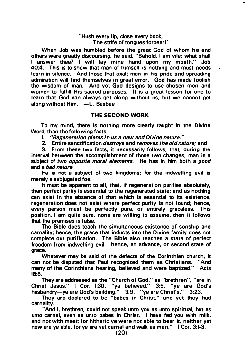#### "Hush every lip, close every book, The strife of tongues forbear!"

When Job was humbled before the great God of whom he and others were greatly discoursing, he said, "Behold, I am vile; what shall I answer thee? I will lay mine hand upon my mouth." Job 40:4. This is to show that man of himself is nothing and must needs learn in silence. And those that exalt man in his pride and spreading admiration will find themselves in great error. God has made foolish the wisdom of man. And yet God designs to use chosen men and women to fulfill His sacred purposes. It is a great lesson for one to learn that God can always get along without us, but we cannot get along without Him. -L. Busbee

#### THE SECOND WORK

To my mind, there is nothing more clearly taught in the Divine Word, than the following facts:

I. "Regeneration plants in us a new and Divine nature. "

2. Entire sanctification *destroys* and *removes the old nature;* and

3. From these two facts, it necessarily follows, that, during the interval between the accomplishment of those two changes, man is a subject of two opposite moral elements. He has in him both a good and a bad nature.

He is not a subject of two kingdoms; for the indwelling evil is merely a subjugated foe.

It must be apparent to all, that, if regeneration purifies absolutely, then perfect purity is essential to the regenerated state; and as nothing can exist in the absence of that which is essential to its existence, regeneration does not exist where perfect purity is not found; hence, every person must be perfectly pure, or entirely graceless. This position, I am quite sure, none are willing to assume, then it follows that the premises is false.

The Bible does teach the simultaneous existence of sonship and carnality; hence, the grace that inducts into the Divine family does not complete our purification. The Bible also teaches a state of perfect freedom from indwelling evil: hence, an advance, or second state of grace.

Whatever may be said of the defects of the Corinthian church, it can not be disputed that Paul recognized them as Christians. "And many of the Corinthians hearing, believed and were baptized." Acts 18:8.

They are addressed as the "Church of God," as "brethren", "are in Christ Jesus." I Cor. 1:30. "ye believed." 3:6. "ye are God's husbandry-ye are God's building." 3:9. "ye are Christ's." 3:23.

They are declared to be "babes in Christ," and yet they had carnality.

"And I, brethren, could not speak unto you as unto spiritual, but as unto carnal, even as unto babes in Christ. I have fed you with milk, and not with meat; for hitherto ye were not able to bear it, neither yet now are ye able, for ye are yet carnal and walk as men." I Cor. 3:1-3.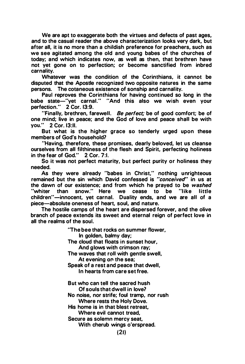We are apt to exaggerate both the virtues and defects of past ages, and to the casual reader the above characterization looks very dark, but after all, it is no more than a childish preference for preachers, such as we see agitated among the old and young babes of the churches of today; and which indicates now, as well as then, that brethren have not yet gone on to perfection; or become sanctified from inbred carnality.

Whatever was the condition of the Corinthians, it cannot be disputed that the Apostle recognized two opposite natures in the same persons. The cotaneous existence of sonship and carnality.

Paul reproves the Corinthians for having continued so long in the babe state-"vet carnal." "And this also we wish even your perfection." 2 Cor. 13:9.

"Finally, brethren, farewell. Be perfect; be of good comfort; be of one mind; live in peace; and the God of love and peace shall be with you." 2 Cor. 13:11.

But what is the higher grace so tenderly urged upon these members of God's household?

"Having, therefore, these promises, dearly beloved, let us cleanse ourselves from all filthiness of the flesh and Spirit, perfecting holiness in the fear of God." 2 Cor. 7:1.

So it was not perfect maturity. but perfect purity or holiness they needed.

As they were already "babes in Christ," nothing unrighteous remained but the sin which David confessed is "conceived" in us at the dawn of our existence; and from which he prayed to be washed "whiter than snow." Here we cease to be "like little children"-innocent, yet carnal. Duality ends, and we are all of a piece-absolute oneness of heart, soul, and nature.

The hostile camps of the heart are dispersed forever, and the olive branch of peace extends its sweet and eternal reign of perfect love in all the realms of the soul.

> "The bee that rocks on summer flower, In golden, balmy day; The cloud that floats in sunset hour. And glows with crimson ray; The waves that roll with gentle swell. At evening on the sea: Speak of a rest and peace that dwell, In hearts from care set free. But who can tell the sacred hush Of souls that dwell in Jove? No noise, nor strife; foul tramp. nor rush Where rests the Holy Dove. His home is in that blest retreat, Where evil cannot tread. Secure as solemn mercy seat, With cherub wings o'erspread.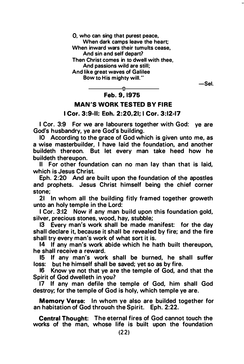0, who can sing that purest peace, When dark camps leave the heart; When inward wars their tumults cease, And sin and self depart? Then Christ comes in to dwell with thee, And passions wild are still; And like great waves of Galilee Bow to His mighty will."

 $-$ Sel.

#### $\hat{\mathbf{r}}$ Feb. 9, 1975

#### MAN'S WORK TESTED BY FIRE I Cor. 3:9-11: Eoh. 2:20,21; I Cor. 3:12-17

I Cor. 3:9 For we are labourers together with God: ye are God's husbandry, ye are God's building.

10 According to the grace of God which is given unto me, as a wise masterbuilder, I have laid the foundation, and another buildeth thereon. But let every man take heed how he buildeth thereupon.

II For other foundation can no man lay than that is laid, which is Jesus Christ.

Eph. 2:20 And are built upon the foundation of the apostles and prophets. Jesus Christ himself being the chief corner stone;

21 In whom all the building fitly framed together groweth unto an holy temple in the Lord:

I Cor. 3:12 Now if any man build upon this foundation gold, silver, precious stones, wood, hay, stubble;

13 Every man's work shall be made manifest: for the day shall declare it, because it shall be revealed by fire; and the fire shall try every man's work of what sort it is.

14 If any man's work abide which he hath built thereupon, he shall receive a reward.

15 If any man's work shall be burned, he shall suffer loss: but he himself shall be saved; yet so as by fire.

16 Know ye not that ye are the temple of God, and that the Spirit of God dwelleth in you?

17 If any man defile the temple of God, him shall God destroy; for the temple of God is holy, which temple ye are.

Memory Verse: In whom ye also are builded together for an habitation of God throuah the Spirit. Eph. 2:22.

Central Thought: The eternal fires of God cannot touch the works of the man, whose life is built upon the foundation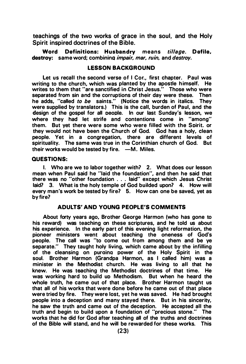teachings of the two works of grace in the soul, and the Holy Spirit inspired doctrines of the Bible.

Word Definitions: Husbandry means tillage. Defile, destroy: same word; combining *impair, mar, ruin*, and *destroy*.

#### LESSON BACKGROUND

Let us recall the second verse of I Cor., first chapter. Paul was writing to the church, which was planted by the apostle himself. He writes to them that "are sanctified in Christ Jesus." Those who were separated from sin and the corruptions of their day were these. Then he adds, "called to be saints." (Notice the words in italics. They were supplied by translators.) This is the call, burden of Paul, and the design of the gospel for all oeoole. In our last Sunday's lesson, we where they had let strife and contentions come in "among" them. But yet there were some who were filled with the Soirit. or they would not have been the Church of God. God has a holy, clean people. Yet in a congregation, there are different levels of spirituality. The same was true in the Corinthian church of God. But their works would be tested by fire.  $-M$ . Miles.

#### QUESTIONS:

I. Who are we to labor together with? 2. What does our lesson mean when Paul said he "laid the foundation", and then he said that there was no "other foundation ... laid" except which Jesus Christ laid? 3. What is the holy temple of God builded upon? 4. How will every man's work be tested by fire? 5. How can one be saved, yet as by fire?

#### ADULTS' AND YOUNG PEOPLE'S COMMENTS

About forty years ago, Brother George Harmon (who has gone to his reward) was teaching on these scriptures, and he told us about his experience. In the early part of this evening light reformation, the pioneer ministers went about teaching the oneness of God's people. The call was "to come out from among them and be ye separate." They taught holy living, which came about by the infilling of the cleansing on puraina power of the Holy Spirit in the soul. Brother Harmon (Grandpa Harmon, as I called him) was a minister in the Methodist church. He was living to all that he knew. He was teaching the Methodist doctrines of that time. He was working hard to build uo Methodism. But when he heard the whole truth, he came out of that place. Brother Harmon taught us that all of his works that were done before he came out of that place were tried by fire. They were lost, yet he was saved. He had brought people into a deception and many stayed there. But in his sincerity, he saw the truth and came out of the deception. He accepted all the truth and begin to build upon a foundation of "precious stone." The works that he did for God after teaching all of the truths and doctrines of the Bible will stand, and he will be rewarded for these works. This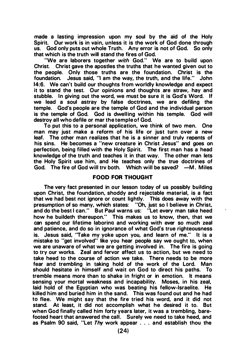made a lasting impression upon my soul by the aid of the Holy Spirit. Our work is in vain, unless it is the work of God done through us. God only puts out whole Truth. Any error is not of God. So only that which is the truth will stand the fires of God.

"We are laborers together with God." We are to build upon Christ. Christ gave the apostles the truths that he wanted given out to the people. Only those truths are the foundation. Christ is the foundation. Jesus said, "I am the way, the truth, and the life." John foundation. Jesus said, "I am the way, the truth, and the life." 14:6. We can't build our thoughts from worldly knowledge and expect it to stand the test. Our opinions and thoughts are straw, hay and stubble. In giving out the word, we must be sure it is God's Word. If we lead a soul astray by false doctrines, we are defiling the temple. God's people are the temple of God and the individual person is the temple of God. God is dwelling within his temple. God will destroy all who defile or mar the temple of God.

To put this to a personal application, we think of two men. One man may just make a reform of his life or just turn over a new leaf. The other man realizes that he is a sinner and truly repents of his sins. He becomes a "new creature in Christ Jesus" and goes on perfection, being filled with the Holy Spirit. The first man has a head knowledge of the truth and teaches it in that way. The other man lets the Holy Spirit use him, and He teaches only the true doctrines of God. The fire of God will try both. Which will be saved? - M. Miles

#### FOOD FOR THOUGHT

The very fact presented in our lesson today of us possibly building upon Christ, the foundation, shoddy and rejectable material, is a fact that we had best not ignore or count lightly. This does away with the presumption of so many, which states: "Oh, just so I believe in Christ, and do the best I can." But Paul warns us: "Let every man take heed how he buildeth thereupon." This makes us to know, then, that we can spend our lifetime laboring and working with ever so much zeal and patience, and do so in ignorance of what God's true righteousness is. Jesus said, "Take my yoke upon you, and learn of me." It is a mistake to "get involved" like you hear people say we ought to, when we are unaware of what we are getting involved in. The fire is going to try our works. Zeal and fervor affect us to action, but we need to take heed to the course of action we take. There needs to be more fear and trembling in taking hold of the work of the Lord. Man should hesitate in himself and wait on God to direct his paths. To tremble means more than to shake in fright or in emotion. It means sensing your mortal weakness and incapability. Moses, in his zeal, laid hold of the Egyptian who was beating his fellow-Israelite. He killed him and buried him in the sand. This was found out and he had to flee. We might say that the fire tried his word, and it did not stand. At least, it did not accomplish what he desired it to. But when God finally called him forty years later, it was a trembling, barefooted heart that answered the call. Surely we need to take heed, and as Psalm 90 said, "Let Thy work appear ... and establish thou the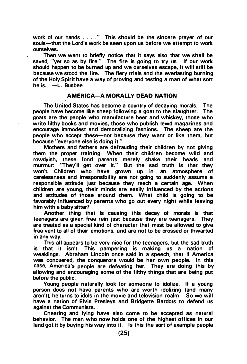work of our hands . . . . " This should be the sincere prayer of our souls-that the Lord's work be seen upon us before we attempt to work ourselves. ·

Then we want to briefly notice that it says also that we shall be saved, "yet so as by fire." The fire is going to try us. If our work should happen to be burned up and we ourselves escape, it will still be because we stood the fire. The fiery trials and the everlasting burning of the Holy Spirit have a way of proving and testing a man of what sort he is.  $-\mathsf{L}$ . Busbee

#### AMERICA-A MORALLY DEAD NATION

The United States has become a country of decaying morals. The people have become like sheep following a goat to the slaughter. The goats are the people who manufacture beer and whiskey, those who write filthy books and movies, those who publish lewd magazines and encourage immodest and demoralizing fashions. The sheep are the people who accept these-not because they want or like them, but because "everyone else is doing it."

Mothers and fathers are defrauding their children by not giving them the proper training. When their children become wild and rowdyish, these fond parents merely shake their heads and murmur: "They'll get over it." But the sad truth is that they won't. Children who have grown up in an atmosphere of carelessness and irresponsibility are not going to suddenly assume a responsible attitude just because they reach a certain age. When children are young, their minds are easily influenced by the actions and attitudes of those around them. What child is going to be favorably influenced by parents who go out every night while leaving him with a baby sitter?

Another thing that is causing this decay of morals is that teenagers are given free rein just because they are teenagers. They are treated as a special kind of character that must be allowed to give free vent to all of their emotions, and are not to be crossed or thwarted in any way.

This all appears to be very nice for the teenagers, but the sad truth is that it isn't. This pampering is making us a nation of weaklings. Abraham Lincoln once said in a speech, that if America was conquered, the conquerors would be her own people. In this case, America's people are defeating her. They are doing this by allowing and encouraging some of the filthy things that are being put before the public.

Young people naturally look for someone to idolize. If a young person does not have parents who are worth idolizing (and many aren't), he turns to idols in the movie and television realm. So we will have a nation of Elvis Preslevs and Bridgette Bardots to defend us against the Communists.

Cheating and lying have also come to be accepted as natural behavior. The man who now holds one of the highest offices in our land got it by buying his way into it. Is this the sort of example people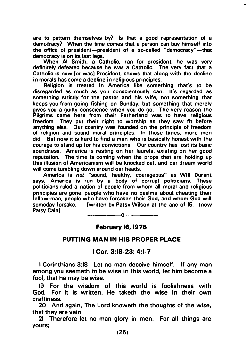are to pattern themselves by? Is that a good representation of a democracy? When the time comes that a person can buy himself into the office of president-president of a so-called "democracy"-that democracy is on its last legs.

When AI Smith, a Catholic, ran for president, he was very definitely defeated because he was a Catholic. The very fact that a Catholic is now [or was] President, shows that along with the decline in morals has come a decline in religious principles.

Religion is treated in America like something that's to be disregarded as much as you conscientously can. It's regarded as something strictly for the pastor and his wife, not something that keeps you from going fishing on Sunday, but something that merely gives you a guilty conscience when you do go. The very reason the Pilgrims came here from their Fatherland was to have religious freedom. They put their right to worship as they saw fit before anything else. Our country was founded on the principle of freedom of religion and sound moral orinciples. In those times, more men did. But now it is hard to find a man who is basically honest with the courage to stand up for his convictions. Our country has lost its basic soundness. America is resting on her laurels, existing on her good reputation. The time is coming when the props that are holding up this illusion of Americanism will be knocked out, and our dream world will come tumbling down around our heads.

America is not "sound, healthy, courageous" as Will Durant says. America is run by a body of corrupt politicians. These politicians ruled a nation of oeoole from whom all moral and religious principles are gone, people who have no qualms about cheating their fellow-man, people who have forsaken their God, and whom God will fwritten by Patsy Wilson at the age of 15. (now Patsy Cain]

February 16, 1976

#### PUTTING MAN IN HIS PROPER PLACE

#### I Cor. 3:18-23; 4:1-7

I Corinthians 3:18 Let no man deceive himself. If any man among you seemeth to be wise in this world, let him become a fool, that he may be wise.

19 For the wisdom of this world is foolishness with God. For it is written, He taketh the wise in their own craftiness.

20 And again, The Lord knoweth the thoughts of the wise, that they are vain.

21 Therefore let no man glory in men. For all things are yours;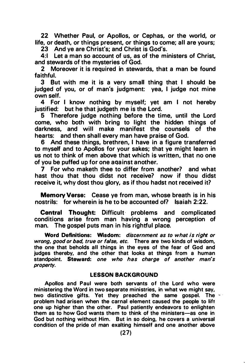22 Whether Paul, or Apollos, or Cephas, or the world, or life, or death, or things present, or things to come; all are yours;

23 And ye are Christ's; and Christ is God's.

4: 1 Let a man so account of us, as of the ministers of Christ. and stewards of the mysteries of God.

2 Moreover it is required in stewards, that a man be found faithful.

3 But with me it is a very small thing that I should be judged of you, or of man's judgment: yea, I judge not mine own self.

4 For I know nothing by myself; yet am I not hereby justified: but he that judgeth me is the Lord.

5 Therefore judge nothing before the time, until the Lord come, who both with bring to light the hidden things of darkness, and will make manifest the counsels of the hearts: and then shall every man have praise of God.

6 And these things, brethren, I have in a figure transferred to myself and to Apollos for your sakes; that ye might learn in us not to think of men above that which is written, that no one of you be puffed up for one aqainst another.

7 For who maketh thee to differ from another? and what hast thou that thou didst not receive? now if thou didst receive it, why dost thou glory, as if thou hadst not received it?

Memory Verse: Cease ye from man, whose breath is in his nostrils: for wherein is he to be accounted of? Isaiah 2:22.

Central Thought: Difficult· problems and complicated conditions arise from man having a wrong perception of man. The gospel puts man in his rightful place.

Word Definitions: Wisdom: discernment as to what is right or wrong, good or bad, true or false, etc. There are two kinds of wisdom, the one that beholds all things in the eyes of the fear of God and judges thereby, and the other that looks at things from a human standpoint. Steward: one who has charge of another man's property.

#### LESSON BACKGROUND

Apollos and Paul were both servants of the Lord who were ministering the Word in two separate ministries, in what we might say, two distinctive gifts. Yet they preached the same gospel. The  $\cdot$ problem had arisen when the carnal element caused the people to lift one up higher than the other. Paul patiently endeavors to enlighten them as to how God wants them to think of the ministers-as one in God but nothing without Him. But in so doing, he covers a universal condition of the pride of man exalting himself and one another above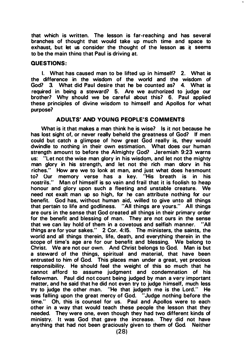that which is written. The lesson is far-reaching and has several branches of thought that would take up much time and space to exhaust, but let us consider the thought of the lesson as it seems to be the main thina that Paul is driving at.

#### QUESTIONS:

I. What has caused man to be lifted up in himself? 2. What is the difference in the wisdom of the world and the wisdom of God? 3. What did Paul desire that he be counted as? 4. What is required in being a steward? 5. Are we authorized to judge our brother? Why should we be careful about this? 6. Paul applied these principles of divine wisdom to himself and Apollos for what purpose?

#### ADULTS' AND YOUNG PEOPLE'S COMMENTS

What is it that makes a man think he is wise? Is it not because he has lost sight of, or never really beheld the greatness of God? If men could but catch a glimpse of how great God really is, they would dwindle to nothing in their own estimation. What does our human strength amount to before the Almighty God? Jeremiah 9:23 warns us: "Let not the wise man glory in his wisdom, and let not the mighty man glory in his strength, and let not the rich man alorv in his riches." How are we to look at man, and just what does heamount to? Our memory verse has a key. "His breath is in his nostrils." Man of himself is so vain and frail that it is foolish to heap honour and glory upon such a fleeting and unstable creature. We need not exalt man up so high, for he can attribute nothing for our benefit. God has, without human aid, willed to give unto all things that pertain to life and godliness. "All things are yours." All things are ours in the sense that God created all things in their primary order for the benefit and blessing of man. They are not ours in the sense that we can lay hold of them in a covetous and selfish manner. "All things are for your sakes." 2 Cor. 4:15. The ministers, the saints, the world and all things therein, life, death, and everything therein in the scope of time's age are for our benefit and blessing. We belong to Christ. We are not our own. And Christ belongs to God. Man is but a steward of the things, spiritual and material, that have been entrusted to him of God. This places man under a great, yet precious responsibility. He should feel the weight of this so much that he cannot afford to assume judgment and condemnation of his fellowman. Paul did not count being judged by man a very important matter, and he said that he did not even try to judge himself, much less try to judge the other man. "He that judgeth me is the Lord." He was falling upon the great mercy of God. "Judge nothing before the time." Oh, this is counsel for us. Paul and Apollos were to each other in a way that would teach these people the lesson that they needed. They were one, even though they had two different kinds of ministry. It was God that gave the increase. They did not have anything that had not been graciously given to them of God. Neither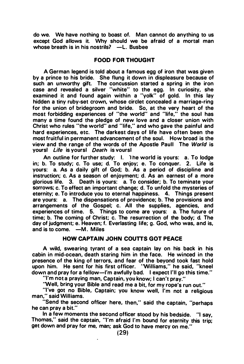do we. We have nothing to boast of. Man cannot do anything to us except God allows it. Why should we be afraid of a mortal man whose breath is in his nostrils?  $-L$ . Busbee

#### FOOD FOR THOUGHT

A German legend is told about a famous egg of iron that was given by a prince to his bride. She flung it down in displeasure because of such an unworthy gift. The concussion started a spring in the iron case and revealed a silver "white" to the egg. In curiosity, she examined it and found again within a "yolk" of gold. In this lay hidden a tiny ruby-set crown, whose circlet concealed a marriage-ring for the union of bridegroom and bride. So, at the very heart of the most forbidding experiences of "the world" and "life," the soul has many a time found the pledge of new love and a closer union with Christ who rules "the world" and "life," and who gave the painful and hard experiences, etc. The darkest days of life have often been the most fruitful in permanent advancement of the soul. How broad is the view and the range of the words of the Apostle Paull The World is yours! Life is yours! Death is vours!

An outline for further study: I. 1 he world is yours: a. To lodge in; b. To study; c. To use; d. To enjoy; e. To conquer. 2. Life is yours: a. As a daily gift of God; b. As a period of discipline and instruction; c. As a season of enjoyment; d. As an earnest of a more glorious life. 3. Death is yours: a. To consider; b. To teminate your sorrows; c. To effect an important change; d. To unfold the mysteries of eternity; e. To introduce you to eternal happiness. 4. Things present are yours: a. The dispensations of providence; b. The provisions and arrangements of the Gospel; c. All the supplies, agencies, and experiences of time. 5. Things to come are yours: a. The future of time; b. The coming of Christ; c. The resurrection of the body; d. The day of judgment; e. Heaven; f. Everlasting life; g. God, who was, and is, and is to come.  $-M$ . Miles

#### HOW CAPTAIN JOHN COUTTS GOT PEACE

A wild, swearing tyrant of a sea captain lay on his back in his cabin in mid-ocean, death staring him in the face. He winced in the presence of the king of terrors, and fear of the beyond took fast hold upon him. He sent for his first officer. 'Williams," he said, "kneel down and pray for a fellow-l'm awfully bad. I expect I'll go this time."

"I'm not a praying man, Captain, you know; I can't pray."

'Well, bring your Bible and read me a bit, for my rope's run out."

"I've got no Bible, Captain; you know well, I'm not a religious man," said Williams.

"Send the second officer here, then," said the captain, "perhaps he can pray a bit."

In a few moments the second officer stood by his bedside. "I say, Thomas," said the captain, "I'm afraid I'm bound for eternity this trip; get down and pray for me, man; ask God to have mercy on me."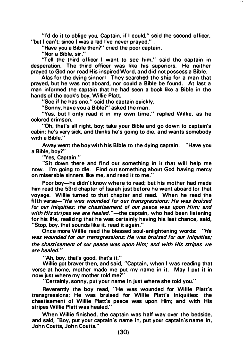"I'd do it to oblige you, Captain, if I could," said the second officer, "but I can't: since I was a lad I've never prayed."

"Have you a Bible then?" cried the poor captain.

"Nor a Bible, sir."

"Tell the third officer I want to see him," said the captain in desperation. The third officer was like his superiors. He neither prayed to God nor read His inspired Word, and did not possess a Bible.

Alas for the dying sinnerl They searched the ship for a man that prayed, but he was not aboard, nor could a Bible be found. At last a man informed the captain that he had seen a book like a Bible in the hands of the cook's boy, Willie Platt.

"See if he has one," said the captain quickly.

"Sonny, have you a Bible?" asked the man.

"Yes, but I only read it in my own time," replied Willie, as he colored crimson.

"Oh, that's all right, boy; take your Bible and go down to captain's cabin; he's very sick, and thinks he's going to die, and wants somebody with a Bible."

Away went the boy with his Bible to the dying captain. "Have you a Bible, boy?"

"Yes, Captain."

"Sit down there and find out something in it that will help me now. I'm going to die. Find out something about God having mercy on miserable sinners like me, and read it to me."

Poor boy-he didn't know where to read; but his mother had made him read the 53rd chapter of Isaiah just before he went aboard for that voyage. Willie turned to that chapter and read. When he read the fifth verse-"He was wounded for our transgressions: He was bruised for our iniquities; the chastisement of our peace was upon Him; and with His stripes we are healed."—the captain, who had been listening for his life, realizing that he was certainly having his last chance, said, "Stop, boy, that sounds like it, read it again."

Once more Willie read the blessed soul-enlightening words: "He was wounded for our transgressions; He was bruised for our iniquities; the chastisement of our peace was upon Him; and with His stripes we are healed. "

"Ah, boy, that's good, that's it."

Willie got braver then, and said, "Captain, when I was reading that verse at home, mother made me put my name in it. May I put it in now just where my mother told me?"

"Certainly, sonny, put your name in just where she told you."

Reverently the boy read, "He was wounded for Willie Platt's transgressions; He was bruised for Willie Platt's iniquities: the chastisement of Willie Platt's peace was upon Him; and with His stripes Willie Platt was healed."

When Willie finished, the captain was half way over the bedside, and said, "Boy, put your captain's name in, put your captain's name in, John Coutts, John Coutts."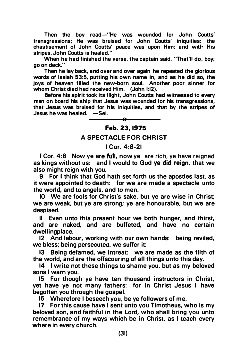Then the boy read-"He was wounded for John Coutts' transgressions; He was bruised for John Coutts' iniquities: the chastisement of John Coutts' peace was upon Him; and with His stripes, John Coutts is healed."

When he had finished the verse, the captain said, 'That'll do, boy; go on deck."

Then he lay back, and over and over again he repeated the glorious words of Isaiah 53:5, putting his own name in, and as he did so, the joys of heaven filled the new-born soul. Another poor sinner for whom Christ died had received Him. (John 1:12).

Before his spirit took its flight, John Coutts had witnessed to every man on board his ship that Jesus was wounded for his transgressions. that Jesus was bruised for his iniquities, and that by the stripes of  $J$ esus he was healed.  $-Sel$ .

#### Feb. 23, 1975

#### A SPECTACLE FOR CHRIST

#### I C or. 4:8-21

I Cor. 4:8 Now ye are full, now ye are rich, ye have reigned as kings without us: and I would to God ye did reign, that we also might reign with you.

9 For I think that God hath set forth us the apostles last. as it were appointed to death: for we are made a spectacle unto the world, and to angels, and to men.

10 We are fools for Christ's sake, but ye are wise in Christ; we are weak, but ye are strong; ye are honourable, but we are despised.

II Even unto this present hour we both hunger, and thirst, and are naked, and are buffeted, and have no certain dwellingplace.

12 And labour, working with our own hands: being reviled, we bless; being persecuted, we suffer it:

13 Being defamed, we intreat: we are made as the filth of the world, and are the offscouring of all things unto this day.

14 I write not these things to shame you, but as my beloved sons I warn you.

15 For though ye have ten thousand instructors in Christ, yet have ye not many fathers: for in Christ Jesus I have begotten you through the gospel.

16 Wherefore I beseech you, be ye followers of me.

17 For this cause have I sent unto you Timotheus, who is my beloved son, and faithful in the Lord, who shall bring you unto remembrance of my ways which be in Christ, as I teach every where in every church.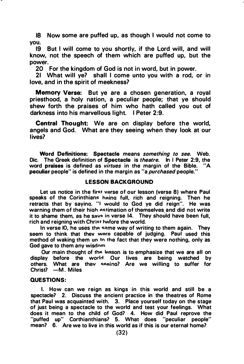18 Now some are puffed up, as though I would not come to you.

19 But I will come to you shortly, if the Lord will, and will know, not the speech of them which are puffed up, but the power.

20 For the kingdom of God is not in word, but in power.

21 What will ye? shall I come unto you with a rod, or in love, and in the spirit of meekness?

Memory Verse: But ye are a chosen generation, a royal priesthood, a holy nation, a peculiar people; that ye should shew forth the praises of him who hath called you out of darkness into his marvellous light. I Peter 2:9.

Central Thought: We are on display before the world, angels and God. What are they seeing when they look at our lives?

Word Definitions: Spectacle means something to see. Web. Dic. The Greek definition of Spectacle is theatre. In I Peter 2:9, the word praises is defined as virtues in the margin of the Bible "A word praises is defined as *virtues* in the margin of the Bible. peculiar people" is defined in the margin as "a purchased people."

#### LESSON BACKGROUND

Let us notice in the first verse of our lesson (verse 8) where Paul speaks of the Corinthians heing full, rich and reigning. Then he retracts that by sayina. "I would to God ye did reign". He was warning them of their high estimation of themselves and did not write it to shame them, as he save in verse 14. They should have been full, rich and reigning with Christ hefore the world.

In verse IO, he uses the same way of writing to them again. They seem to think that thev were capable of judging. Paul used this method of waking them un tn the fact that they were nothing, only as God gave to them any wisdnm

Our main thought of the lesson is to emphasize that we are all on display before the world Our lives are being watched by others. What are they seeing? Are we willing to suffer for Christ? - M. Miles

#### QUESTIONS:

I. How can we reign as kings in this world and still be a spectacle? 2. Discuss the ancient practice in the theatres of Rome that Paul was acquainted with. 3. Place yourself today on the stage of just being a spectacle to the world and test your feelings. What does it mean to the child of God? 4. How did Paul reprove the "puffed up" Corthianthians7 5. What does "peculiar people" mean? 6. Are we to live in this world as if this is our eternal home?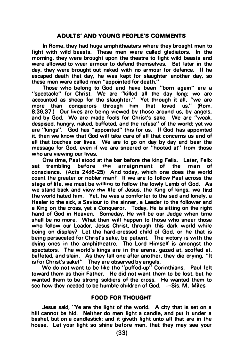#### ADULTS' AND YOUNG PEOPLE'S COMMENTS

In Rome, they had huge amphitheaters where they brought men to fight with wild beasts. These men were called gladiators. In the morning, they were brought upon the theatre to fight wild beasts and were allowed to wear armour to defend themselves. But later in the day, they were brought out naked with no armour for defence. If he escaped death that day, he was kept for slaughter another day, so these men were called men "appointed for death."

Those who belong to God and have been "born again" are a "spectacle" for Christ. We are "killed all the day long; we are accounted as sheep for the slaughter." Yet through it all, "we are more than conquerors through him that loved us." (Rom. more than conquerors through him that loved us." 8:36,37.) Our lives are being viewed by those around us, by angels, and by God. We are made fools for Christ's sake. We are "weak, despised, hungry, naked, buffeted, and the refuse" of the world; yet we are "kings". God has "appointed" this for us. If God has appointed it, then we know that God will take care of all that concerns us and of all that touches our lives. We are to go on day by day and bear the message for God, even if we are sneered or "hooted at" from those who are viewing our lives.

One time, Paul stood at the bar before the king Felix. Later, Felix<br>sat trembling before the arraignment of the man of arraignment of the conscience. (Acts 24:16-25) And today, which one does the world count the greater or nobler man? If we are to follow Paul across the stage of life, we must be willina to follow the lowly Lamb of God. As we stand back and view the life of Jesus, the King of kings, we find the world hated him. Yet, he was a comforter to the sad and lonely, a Healer to the sick, a Saviour to the sinner, a Leader to the follower and a King on the cross, yet a Conqueror. Today, He is sitting on the right hand of God in Heaven. Someday, He will be our Judge when time shall be no more. What then will happen to those who sneer those who follow our Leader, Jesus Christ, through this dark world while being on display? Let the hard-pressed child of God, or he that is being persecuted for Christ's sake, be patient. The victory is with the dying ones in the amphitheatre. The Lord Himself is amongst the spectators. The world's kings are in the arena, gazed at, scoffed at, buffeted, and slain. As they fall one after another, they die crying, "It is for Christ's sakel" They are observed by angels.

We do not want to be like the "puffed-up" Corinthians. Paul felt toward them as their Father. He did not want them to be lost, but he wanted them to be strong soldiers of the cross. He wanted them to see how they needed to be humble children of God.  $-Sis. M.$  Miles

#### FOOD FOR THOUGHT

Jesus said, "Ye are the light of the world. A city that is set on a hill cannot be hid. Neither do men light a candle, and put it under a bushel, but on a candlestick; and it giveth light unto all that are in the house. Let your light so shine before men, that they may see your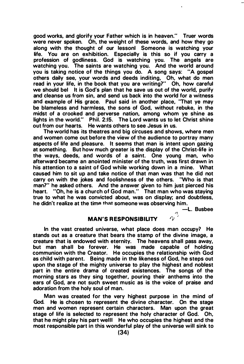good works, and glorify your Father which is in heaven." Truer words were never spoken. Oh, the weight of these words, and how they go along with the thought of our lessonl Someone is watching your life. You are on exhibition. Especially is this so if you carry a profession of godliness. God is watching you. The angels are watching you. The saints are watching you. And the world around you is taking notice of the things you do. A song says: "A gospel others daily see, your words and deeds inditing, Oh, what do men read in your life, in the book that you are writing?" Oh, how careful we should bel It is God's plan that he save us out of the world, purify and cleanse us from sin, and send us back into the world for a witness and example of His grace. Paul said in another place, 'That ye may be blameless and harmless, the sons of God, without rebuke, in the midst of a crooked and perverse nation, among whom ye shine as lights in the world." Phil. 2:15. The Lord wants us to let Christ shine out from our hearts. He wants others to see Jesus in us.

The world has its theatres and big circuses and shows, where men and women come out before the view of the audience to portray many aspects of life and pleasure. It seems that man is intent upon gazing at something. But how much greater is the display of the Christ-life in the ways, deeds, and words of a saint. One young man, who afterward became an anointed minister of the truth, was first drawn in his attention to a saint of God while working down in a mine. What caused him to sit up and take notice of that man was that he did not carry on with the jokes and foolishness of the others. 'Who is that man?" he asked others. And the answer given to him just pierced his heart. "Oh, he is a church of God man." That man who was staying true to what he was convicted about, was on display; and doubtless, he didn't realize at the time that someone was observing him.

-L. Busbee

r..

#### MAN'S RESPONSIBILITY

In the vast created universe, what place does man occupy? He stands out as a creature that bears the stamp of the divine image, a creature that is endowed with eternity. The heavens shall pass away, but man shall be forever. He was made capable of holding communion with the Creator. He occupies the relationship with God as child with parent. Being made in the likeness of God, he steps out upon the stage of the mighty universe to play the highest and noblest part in the entire drama of created existences. The songs of the morning stars as they sing together, pouring their anthems into the ears of God, are not such sweet music as is the voice of praise and adoration from the holy soul of man.

Man was created for the very highest purpose in the mind of God. He is chosen to represent the divine character. On the stage men and women represent certain characters. Man upon the great stage of life is selected to represent the holy character of God. Oh, that he might play his part welll He who occupies the highest and the most responsible part in this wonderful play of the universe will sink to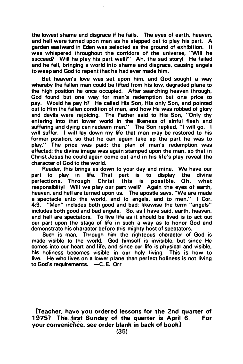the lowest shame and disgrace if he fails. The eyes of earth, heaven, and hell were turned upon man as he stepped out to play his part. A garden eastward in Eden was selected as the ground of exhibition. It was whispered throughout the corridors of the universe, 'Will he succeed? Will he play his part well?" Ah, the sad storyl He failed and he fell, bringing a world into shame and disgrace, causing angels to weep and God to repent that he had ever made him.

But heaven's love was set upon him, and God sought a way whereby the fallen man could be lifted from his low, degraded plane to the high position he once occupied. After searching heaven through, God found but one way for man's redemption but one price to pay. Would he pay it? He called His Son, His only Son, and pointed out to Him the fallen condition of man, and how He was robbed of glory and devils were rejoicing. The Father said to His Son, "Only thy entering into that lower world in the likeness of sinful flesh and suffering and dying can redeem man." The Son replied, "I will go. I will suffer. I will lay down my life that man may be restored to his former position, so that he can again take up the part he was to play." The price was paid; the plan of man's redemption was effected; the divine image was again stamped upon the man, so that in Christ Jesus he could again come out and in his life's play reveal the character of God to the world.

Reader, this brings us down to your day and mine. We have our<br>part to play in life. That part is to display the divine part to play in life. That part is to display the divine perfections. Through Christ this is possible. Oh, what responsiblityl Will we play our part well? Again the eyes of earth, heaven, and hell are turned upon us. The apostle says, "We are made a spectacle unto the world, and to angels, and to men." I Cor. 4:9. "Men" includes both good and bad; likewise the term "angels" includes both good and bad angels. So, as I have said, earth, heaven, and hell are spectators. To live life as it should be lived is to act out our part upon the stage of life in such a way as to honor God and demonstrate his character before this mighty host of spectators.

Such is man. Through him the righteous character of God is made vistble to the world. God himself is invisible; but since He comes into our heart and life, and since our life is physical and visible, his holiness becomes visible in our holy living. This is how to live. He who lives on a lower plane than perfect holiness is not living to God's requirements. -C.E. Orr

(Teacher. have you ordered lessons for the 2nd quarter of 1975? The first Sunday of the quarter is April 6. For your convenience, see order blank in back of bookl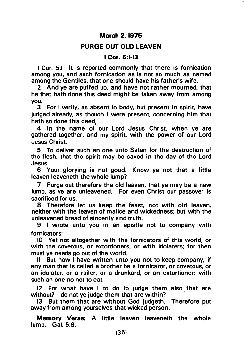#### March 2, 1975

#### PURGE OUT OLD LEAVEN

#### I Cor. 5:1-13

I Cor. 5:1 It is reported commonly that there is fornication among you, and such fornication as is not so much as named among the Gentiles, that one should have his father's wife.

2 And ye are puffed uo. and have not rather mourned, that he that hath done this deed might be taken away from among you.

3 For I verily, as absent in body, but present in spirit, have judged already, as thouah I were present, concerning him that hath so done this deed.

4 In the name of our Lord Jesus Christ, when ye are gathered together, and my spirit, with the power of our Lord Jesus Christ,

5 To deliver such an one unto Satan for the destruction of the flesh, that the spirit may be saved in the day of the Lord Jesus.

6 Your glorying is not good. Know ye not that a little leaven leaveneth the whole lump?

7 Purge out therefore the old leaven, that ye may be a new lump, as ye are unleavened. For even Christ our passover is sacrificed for us.

8 Therefore let us keep the feast, not with old leaven, neither with the leaven of malice and wickedness; but with the unleavened bread of sincerity and truth.

9 I wrote unto you in an epistle not to company with fornicators:

10 Yet not altogether with the fornicators of this world, or with the covetous, or extortioners, or with idolaters; for then must ye needs go out of the world.

II But now I have written unto you not to keep company, if any man that is called a brother be a fornicator, or covetous, or an idolater, or a railer, or a drunkard, or an extortioner; with such an one no not to eat.

12 For what have I to do to judge them also that are without? do not ye judge them that are within?

13 But them that are without God judgeth. Therefore put away from among yourselves that wicked person.

Memory Verse: A little leaven leaveneth the whole lump. Gal. 5:9.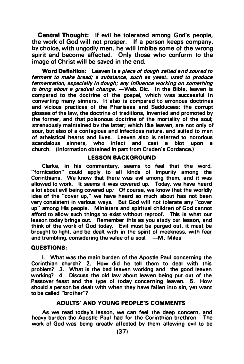Central Thought: If evil be tolerated among God's people, the work of God will not prosper. If a person keeps company, bv choice, with ungodly men, he will imbibe some of the wrong spirit and become affected. Only those who conform to the image of Christ will be saved in the end.

Word Definition: Leaven is a piece of dough salted and soured to ferment to make bread; a substance, such as yeast, used to produce fermentation, especially in dough; any influence working on something to bring about a gradual change.  $-Web$ . Dic. In the Bible, leaven is compared to the doctrine of the gospel, which was successful in converting many sinners. It also is compared to erronous doctrines and vicious practices of the Pharisees and Sadducees; the corrupt glosses of the law, the doctrine of traditions, invented and promoted by the former, and that poisonous doctrine of the mortality of the soul; strenuously maintained bv the latter; which like leaven, are not only of sour, but also of a contagious and infectious nature, and suited to men of atheistical hearts and lives. Leaven also is referred to notorious<br>scandalous sinners, who infect and cast a blot upon a who infect and cast a blot upon a church. (Information obtained in part from Cruden's Cordance.)

#### LESSON BACKGROUND

Clarke, in his commentary, seems to feel that the word, "fornication" could apply to all kinds of impurity among the Corinthians. We know that there was evil among them, and it was allowed to work. It seems it was covered up. Today, we have heard a lot about evil being covered up: Of course, we know that the worldly idea of the "cover up," we have heard so much about has not been very consistent in various ways. But God will not tolerate any "cover up" among His people. Ministers and spiritual children of God cannot afford to allow such things to exist without reproof. This is what our lesson today brings out. Remember this as you study our lesson, and think of the work of God today. Evil must be purged out, it must be brought to light, and be dealt with in the spirit of meekness, with fear and trembling, considering the value of a soul.  $-M$ . Miles

#### QUESTIONS:

I. What was the main burden of the Apostle Paul concerning the Corinthian church? 2. How did he tell them to deal with this problem? 3. What is the bad leaven working and the good leaven working? 4. Discuss the old law about leaven being put out of the Passover feast and the type of today concerning leaven. 5. How should a person be dealt with when they have fallen into sin, yet want to be called "brother"?

#### ADULTS' AND YOUNG PEOPLE'S COMMENTS

As we read today's lesson, we can feel the deep concern, and heavy burden the Apostle Paul had for the Corinthian brethren. The work of God was being areatlv affected by them allowing evil to be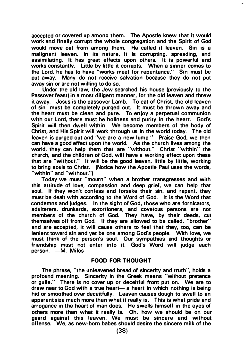accepted or covered up amona them. The Apostle knew that it would work and finally corrupt the whole congregation and the Spirit of God would move out from among them. He called it leaven. Sin is a malignant leaven. In its nature, it is corrupting, spreading, and assimilating. It has great effects upon others. It is powerful and works constantly. Little by little it corrupts. When a sinner comes to the Lord, he has to have "works meet for repentance." Sin must be put away. Many do not receive salvation because they do not put away sin or are not willing to do so.

Under the old law, the Jew searched his house (previously to the Passover feast) in a most diligent manner, for the old leaven and threw it away. Jesus is the passover Lamb. To eat of Christ, the old leaven of sin must be completely purged out. It must be thrown away and the heart must be clean and pure. To enjoy a perpetual communion with our Lord, there must be holiness and purity in the heart. God's Spirit will then dwell within. We become members of the body of Christ, and His Spirit will work through us in the world today. The old leaven is purged out and "we are a new lump." Praise God, we then can have a good effect upon the world. As the church lives among the world, they can help them that are "without." Christ "within" the church, and the children of God, will have a working effect upon these that are "without." It will be the good leaven, little by little, working to bring souls to Christ. (Notice how the Apostle Paul uses the words, "within" and "without.")

Today we must "mourn" when a brother transgresses and with this attitude of love, compassion and deep grief, we can help that soul. If they won't confess and forsake their sin, and repent, they must be dealt with according to the Word of God. It is the Word that condemns and judges. In the sight of God, those who are fornicators, adulterers, drunkards, extortioners, and covetous persons are not members of the church of God. They have, by their deeds, cut themselves off from God. If they are allowed to be called, "brother" and are accepted, it will cause others to feel that they, too, can be lenient toward sin and yet be one among God's people. With love, we must think of the person's soul. Our sympathies and thoughts or friendship must not enter into it. God's Word will judge each person. - M. Miles

#### FOOD FOR THOUGHT

The phrase, "the unleavened bread of sincerity and truth", holds a profound meaning. Sincerity in the Greek means "without pretence or guile." There is no cover up or deceitful front put on. We are to draw near to God with a true heart- a heart in which nothing is being hid or smoothed over deceitfully. Leaven causes dough to swell to an apparent size much more than what it really is. This is what pride and arrogance in the heart of man does. He swells himself in the eyes of others more than what it really is. Oh, how we should be on our guard against this leaven. We must be sincere and without offense. We, as new-born babes should desire the sincere milk of the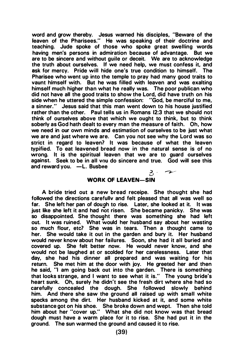word and grow thereby. Jesus warned his disciples, "Beware of the leaven of the Pharisees." He was speaking of their doctrine and teaching. Jude spoke of those who spoke great swelling words having men's persons in admiration because of advantage. But we are to be sincere and without guile or deceit. We are to acknowledge the truth about ourselves. If we need help, we must confess it, and ask for mercy. Pride will hide one's true condition to himself. The Pharisee who went up into the temple to pray had many good traits to vaunt himself with. But he was filled with leaven and was exalting himself much higher than what he really was. The poor publican who did not have all the good traits to show the Lord, did have truth on his side when he uttered the simple confession: "God, be merciful to me, a sinner." Jesus said that this man went down to his house justified rather than the other. Paul tells us in Romans 12:3 that we should not think of ourselves above that which we ought to think, but to think soberly as God hath dealt to every man the measure of faith. Oh, how we need in our own minds and estimation of ourselves to be just what we are and just where we are. Can you not see why the Lord was so strict in regard to leaven? It was because of what the leaven typified. To eat leavened bread now in the natural sense is of no wrong. It is the spiritual leaven that we are to guard ourselves against. Seek to be in all vou do sincere and true. God will see this and reward you. -L. Busbee

#### $3 - 7$ WORK OF LEAVEN-SIN

A bride tried out a new bread receipe. She thought she had followed the directions carefullv and felt pleased that all was well so far. She left her pan of dou9h to rise. Later, she looked at it. It was just like she left it and had not risen. She became panicky. She was so disappointed. She thought there was something she had left out. It was ruined. What would her husband say about her wasting so much flour, etc? She was in tears. Then a thought came to her. She would take it out in the garden and bury it. Her husband would never know about her failures. Soon, she had it all buried and covered up. She felt better now. He would never know, and she would not be laughed at or scolded for her carelessness. Later that day, she had his dinner all prepared and was waiting for his return. She met him at the door with joy. He greeted her and then he said, "I am going back out into the garden. There is something that looks strange, and I want to see what it is." The young bride's heart sunk. Oh, surely he didn't see the fresh dirt where she had so carefully concealed the dough. She followed slowly behind him. And there she saw the ground all raised up with small white specks among the dirt. Her husband kicked at it, and some white substance got on his shoe. She broke down and wept. Then she told him about her "cover up." What she did not know was that bread dough must have a warm place for it to rise. She had put it in the ground. The sun warmed the ground and caused it to rise.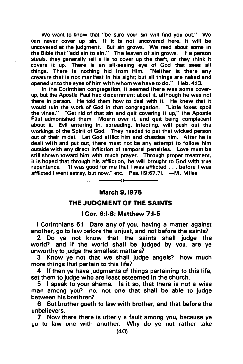We want to know that "be sure your sin will find you out." We can never cover up sin. If it is not uncovered here, it will be uncovered at the judgment. But sin grows. We read about some in the Bible that "add sin to sin." The leaven of sin grows. If a person steals, they generally tell a lie to cover up the theft, or they think it covers it up. There is an all-seeing eye of God that sees all things. There is nothing hid from Him. "Neither is there any creature that is not manifest in his sight; but all things are naked and opened unto the eyes of him with whom we have to do." Heb. 4:13.

 $\overline{\phantom{a}}$ 

In the Corinthian congregation, it seemed there was some coverup, but the Apostle Paul had discernment about it, although he was not there in person. He told them how to deal with it. He knew that it would ruin the work of God in that congregation. "Little foxes spoil the vines." "Get rid of that sin and quit covering it up," the Apostle Paul admonished them. Mourn over it, and quit being complacent about it. Evil entering in, spreading, infecting, will push out the workings of the Spirit of God. They needed to put that wicked person out of their midst. Let God afflict him and chastise him. After he is dealt with and put out, there must not be any attempt to follow him outside with any direct infliction of temporal penalties. Love must be still shown toward him with much prayer. Through proper treatment, it is hoped that through his affliction, he will brought to God with true repentance. "It was good for me that I was afflicted ... before I was afflicted I went astray, but now," etc. Psa. II9:67,7I. - M. Miles

#### March 9, 1976

⊸^–

#### THE JUDGMENT OF THE SAINTS

#### I Cor. 6:1-8; Matthew 7:1-5

I Corinthians 6:1 Dare any of you, having a matter against another, go to law before the unjust, and not before the saints?

2 Do ye not know that the saints shall judge the world? and if the world shall be judged by you, are ye unworthy to judge the smallest matters?

3 Know ye not that we shall judge angels? how much more things that pertain to this life?

4 If then ye have judgments of things pertaining to this life, set them to judge who are least esteemed in the church.

5 I speak to your shame. Is it so, that there is not a wise man among you? no, not one that shall be able to judge between his brethren?

6 But brother goeth to law with brother, and that before the unbelievers.

7 Now there there is utterly a fault among you, because ye go to law one with another. Why do ye not rather take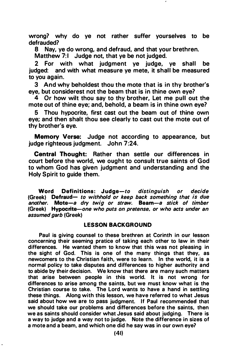wrong? why do ye not rather suffer yourselves to be defrauded?

8 Nay, ye do wrong, and defraud, and that your brethren.

Matthew 7:1 Judge not, that ye be not judged.

2 For with what judgment ye judge, ye shall be judged: and with what measure ye mete, it shall be measured to you again.

3 And why beholdest thou the mote that is in thy brother's eye, but considerest not the beam that is in thine own eye?

4 Or how wilt thou say to thy brother, Let me pull out the mote out of thine eye; and, behold, a beam is in thine own eye?

5 Thou hypocrite, first cast out the beam out of thine own eye; and then shalt thou see clearly to cast out the mote out of thy brother's eye.

Memory Verse: Judge not according to appearance, but judge righteous judgment. John 7:24.

Central Thought: Rather than settle our differences in court before the world, we ought to consult true saints of God to whom God has given judgment and understanding and the Holy Spirit to guide them.

Word Definitions: Judge-to distinguish or decide (Greek) Defraud- to withhold or keep back something that is due another. Mote-a dry twig or straw. Beam-a stick of timber (Greek) Hypocrite-one who puts on pretense, or who acts under an assumed garb (Greek)

#### LESSON BACKGROUND

Paul is giving counsel to these brethren at Corinth in our lesson concerning their seeming pratice of taking each other to law in their differences. He wanted them to know that this was not pleasing in the sight of God. This is one of the many things that they, as newcomers to the Christian faith, were to learn. In the world, it is a normal policy to take disputes and differences to higher authority and to abide by their decision. We know that there are many such matters that arise between people in this world. It is not wrong for differences to arise among the saints, but we must know what is the Christian course to take. The lord wants to have a hand in settling these things. Along with this lesson, we have referred to what Jesus said about how we are to pass judgment. If Paul recommended that we should take our problems and differences before the saints, then we as saints should consider what Jesus said about judging. There is a way to judge and a way not to judge. Note the difference in sizes of a mote and a beam, and which one did he say was in our own eye?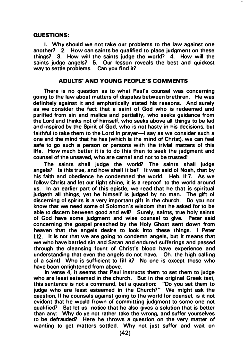#### QUESTIONS:

1. Why should we not take our problems to the law against one another? 2. How can saints be qualified to place judgment on these things? 3. How will the saints judge the world? 4. How will the saints judge angels? 5. Our lesson reveals the best and quickest way to settle problems. Can you find it?

#### ADULTS' AND YOUNG PEOPLE'S COMMENTS

There is no question as to what Paul's counsel was concerning going to the law about matters of disputes between brethren. He was definitely against it and emphatically stated his reasons. And surely as we consider the fact that a saint of God who is redeemed and purified from sin and malice and partiality, who seeks guidance from the Lord and thinks not of himself, who seeks above all things to be led and inspired by the Spirit of God, who is not hasty in his decisions, but faithful to take them to the Lord in prayer-I say as we consider such a one and the mind that he has (which is the mind of Christ), we can feel safe to go such a person or persons with the trivial matters of this life. How much better it is to do this than to seek the judgment and counsel of the unsaved, who are carnal and not to be trusted!

The saints shall judge the world? The saints shall judge angels? Is this true, and how shall it be? It was said of Noah, that by his faith and obedience he condemned the world. Heb. 11:7. As we follow Christ and let our light shine, it is a reproof to the world around us. In an earlier part of this epistle, we read that he that is spiritual judgeth all things, yet he himself is judged by no man. The gift of discerning of spirits is a very important gift in the church. Do you not know that we need some of Solomon's wisdom that he asked for to be able to discern between good and evil? Surely, saints, true holy saints of God have some judgment and wise counsel to give. Peter said concerning the gospel preached by the Holy Ghost sent down from heaven that the angels desire to look into these things. I Peter 1:12. It is not that we are going to condemn angels, but it means that we who have battled sin and Satan and endured sufferings and passed through the cleansing fount of Christ's blood have experience and understanding that even the angels do not have. Oh, the high calling of a saint! Who is sufficient to fill it? No one is except those who have been enlightened from above.

In verse 4, it seems that Paul instructs them to set them to judge who are least esteemed in the church. But in the original Greek text, this sentence is not a command, but a question: "Do you set them to judge who are least esteemed in the Church?" We might ask the question, If he counsels against going to the world for counsel, is it not evident that he would frown of committing judgment to some one not qualified? But let us notice that he also gives a solution that is better than any: Why do ye not rather take the wrong, and suffer yourselves to be defrauded? Here he throws a question on the very matter of wanting to get matters settled. Why not just suffer and wait on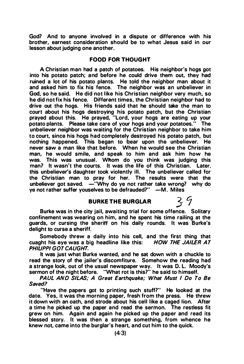God? And to anyone involved in a dispute or difference with his brother, earnest consideration should be to what Jesus said in our lesson about judging one another.

#### FOOD FOR THOUGHT

A Christian man had a patch of potatoes. His neighbor's hogs got into his potato patch; and before he could drive them out, they had ruined a lot of his potato plants. He told the neighbor man about it and asked him to fix his fence. The neighbor was an unbeliever in God, so he said. He did not like his Christian neighbor very much, so he did not fix his fence. Different times, the Christian neighbor had to drive out the hogs. His friends said that he should take the man to court about his hogs destroying his potato patch, but the Christian prayed about this. He prayed, "Lord, your hogs are eating up your potato plants. Please take care of your hogs and your potatoes." The unbeliever neighbor was waiting for the Christian neighbor to take him to court, since his hogs had completely destroyed his potato patch, but nothing happened. This began to �ear upon the unbeliever. He never saw a man like that before. When he would see the Christian man, he would smile, and speak to him and ask him how he was. This was unusual. Whom do you think was judging this man? It wasn't the courts. It was the life of this Christian. Later. this unbeliever's daughter took violently ill. The unbeliever called for the Christian man to pray for her. The results were that the unbeliever got saved.  $-$ "Why do ye not rather take wrong? why do ye not rather suffer youselves to be defrauded?" -M. Miles

#### BURKE THE BURGLAR

Burke was in the city jail, awaiting trial for some offence. Solitary confinement was wearing on him, and he spent his time railing at the guards, or cursing the sheriff on his daily rounds. It was Burke's delight to curse a sheriff.

Somebody threw a daily into his cell, and the first thing that cuaght his eye was a big headline like this: HOW THE JAILER AT PHILIPPI GOT CAUGHT.

It was just what Burke wanted, and he sat down with a chuckle to read the story of the jailer's discomfiture. Somehow the reading had a strange look, out of the usual newspaper way. It was 0. L. Moody's sermon of the night before. "What rot is this?" he said to himself.

PAUL AND SILAS; A Great Earthquake; What Must I Do To Be Saved?

"Have the papers got to printing such stuff?" He looked at the date. Yes, it was the morning paper, fresh from the press. He threw it down with an oath, and strode about his cell like a caged lion. After a time he picked up the paper and read the sermon. The restless fit grew on him. Again and again he picked up the paper and read its blessed story. It was then a strange something, from whence he knew not, came into the burglar's heart, and cut him to the quick.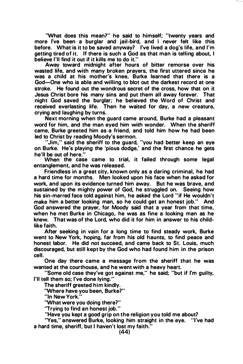'What does this mean?" he said to himself; "twenty years and more I've been a burglar and jail-bird, and I never felt like this before. What is it to be saved anyway? I've lived a dog's life, and I'm getting tired of it. If there is such a God as that man is telling about, I believe I'll find it out if it kills me to do it."

Away toward midnight after hours of bitter remorse over his wasted life, and with many broken prayers, the first uttered since he was a child at his mother's knee, Burke learned that there is a God-One who is able and willing to blot out the darkest record at one stroke. He found out the wondrous secret of the cross, how that on it Jesus Christ bore his many sins and put them all away forever. That night God saved the burglar; he believed the Word of Christ and received everlasting life. Then he waited for day, a new creature, crying and laughing by turns.

Next morning when the guard came around, Burke had a pleasant word for him, and the man eyed him with wonder. When the sheriff came, Burke greeted him as a friend, and told him how he had been led to Christ by reading Moody's sermon.

"Jim," said the sheriff to the guard, "you had better keep an eye on Burke. He's playing the 'pious dodge,' and the first chance he gets he'll be out of here."

When the case came to trial, it failed through some legal entanglement, and he was released.

Friendless in a great city, known only as a daring criminal, he had a hard time for months. Men looked upon his face when he asked for work, and upon its evidence turned him away. But he was brave, and sustained by the mighty power of God, he struggled on. Seeing how his sin-marred face told against him, he asked the Lord "if He wouldn't make him a better looking man, so he could get an honest job." And God answered the prayer, for Moody said that a year from that time, when he met Burke in Chicago, he was as fine a looking man as he knew. That was of the Lord, who did it for him in answer to his childlike faith.

After seeking in vain for a long time to find steady work, Burke went to New York, hoping, far from his old haunts, to find peace and honest labor. He did not succeed, and came back to St. Louis, much discouraged, but still kept by the God who had found him in the prison cell.

One day there came a message from the sheriff that he was wanted at the courthouse, and he went with a heavy heart.

"Some old case they've got against me," he said; "but if I'm guilty, I'll tell them so; I've done lying."

The sheriff greeted him kindly.

'Where have you been, Burke?"

"In New York."

'What were you doing there?"

"Trying to find an honest job."

"Have you kept a good grip on the religion you told me about?

"Yes," answered Burke, looking him straight in the eye. ''I've had a hard time, sheriff, but I haven't lost my faith."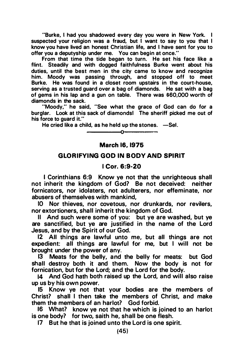"Burke, I had you shadowed every day you were in New York. I suspected your religion was a fraud, but I want to say to you that I know you have lived an honest Christian life, and I have sent for you to offer you a deputyship under me. You can begin at once."

From that time the tide began to turn. He set his face like a flint. Steadily and with dogged faithfulness Burke went about his duties, until the best men in the city came to know and recognize him. Moody was passing through, and stopped off to meet Burke. He was found in a closet room upstairs in the court-house, serving as a trusted guard over a bag of diamonds. He sat with a bag of gems in his lap and a gun on table. There was \$60,000 worth of diamonds in the sack.

"Moody," he said, "See what the grace of God can do for a burglar. Look at this sack of diamonds! The sheriff picked me out of his force to quard it."

He cried like a child, as he held up the stones.  $-$ Sel.

--------�0�

#### March 16, 1975

---------

#### GLORIFYING GOD IN BODY AND SPIRIT

#### I Cor. 6:9-20

I Corinthians 6:9 Know ye not that the unrighteous shall not inherit the kingdom of God? Be not deceived: neither fornicators, nor idolaters, not adulterers, nor effeminate, nor abusers of themselves with mankind,

10 Nor thieves, nor covetous, nor drunkards, nor revilers, nor extortioners, shall inherit the kingdom of God.

II And such were some of you: but ye are washed, but ye are sanctified, but ye are justified in the name of the Lord Jesus, and by the Spirit of our God.

12 All things are lawful unto me, but all things are not expedient: all things are lawful for me, but I will not be brought under the power of any.

13 Meats for the belly, and the belly for meats: but God shall destroy both it and them. Now the body is not for fornication, but for the Lord; and the Lord for the body.

14 And God hath both raised up the Lord, and will also raise up us by his own power.

15 Know ye not that your bodies are the members of Christ? shall I then take the members of Christ, and make them the members of an harlot? God forbid.

16 What? know ye not that he which is joined to an harlot is one body? for two, saith he, shall be one flesh.

17 But he that is joined unto the Lord is one spirit.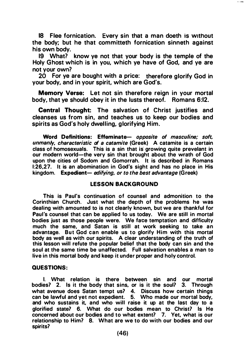18 Flee fornication. Every sin that a man doeth is Without the body; but he that committeth fornication sinneth against his own body.

19 What? know ye not that your body is the temple of the Holy Ghost which is in you, which ye have of God, and ye are not your own?

20 For ye are bought with a price: therefore glorify God in your body, and in your spirit, which are God's.

Memory Verse: Let not sin therefore reign in your mortal body, that ye should obey it in the lusts thereof. Romans 6:12.

Central Thought: The salvation of Christ justifies and cleanses us from sin, and teaches us to keep our bodies and spirits as God's holy dwelling, glorifying Him.

Word Definitions: Effeminate- opposite of masculine: soft, unmanly, characteristic of a catamite (Greek) A catamite is a certain class of homosexuals. This is a sin that is growing quite prevelant in our modern world-the very sin that brought about the wrath of God upon the cities of Sodom and Gomorrah. It is described in Romans 1:26,27. It is an abomination in God's sight and has no place in His kingdom. Expedient- edifying, or to the best advantage (Greek)

#### LESSON BACKGROUND

This is Paul's continuation of counsel and admonition to the Corinthian Church. Just what the depth of the problems he was dealing with amounted to is not clearly known, but we are thankful for Paul's counsel that can be applied to us today. We are still in mortal bodies just as those people were. We face temptation and difficulty much the same. and Satan is still at work seeking to take an advantage. But God can enable us to glorify Him with this mortal body as well as with our spirits. A clear understanding of the truth of this lesson will refute the popular belief that the body can sin and the soul at the same time be unaffected. Full salvation enables a man to live in this mortal body and keep it under proper and holy control.

#### QUESTIONS:

I. What relation is there between sin and our mortal bodies? 2. Is it the body that sins. or is it the soul? 3. Through what avenue does Satan tempt us? 4. Discuss how certain things can be lawful and yet not expedient. 5. Who made our mortal body, and who sustains it, and who will raise it up at the last day to a glorified state? 6. What do our bodies mean to Christ? Is He concerned about our bodies and to what extent? 7. Yet, what is our relationship to Him? 8. What are we to do with our bodies and our spirits?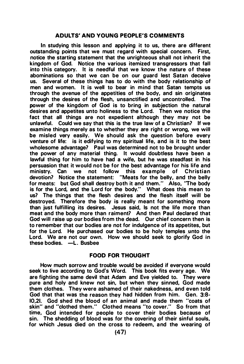#### ADULTS' AND YOUNG PEOPLE'S COMMENTS

In studying this lesson and applying it to us, there are different outstanding points that we must regard with special concern. First, notice the starting statement that the unrighteous shall not inherit the kingdom of God. Notice the various itemized transgressors that fall into this category. It is needful that we know the nature of these abominations so that we can be on our guard lest Satan deceive us. Several of these things has to do with the body relationship of men and women. It is well to bear in mind that Satan tempts us through the avenue of the appetities of the body, and sin originates through the desires of the flesh, unsanctified and uncontrolled. The power of the kingdom of God is to bring in subjection the natural desires and appetites unto holiness to the Lord. Then we notice the fact that all things are not expedient although they may not be unlawful. Could we say that this is the true law of a Christian? If we examine things merely as to whether they are right or wrong, we will be misled very easily. We should ask the question before every venture of life: is it edifying to my spiritual life, and is it to the best wholesome advantage? Paul was determined not to be brought under the power of any material thing. It would doubtless have been a lawful thing for him to have had a wife, but he was steadfast in his persuasion that it would not be for the best advantage for his life and<br>ministry. Can we not follow this example of Christian we not follow this example devotion? Notice the statement: "Meats for the belly, and the belly for meats: but God shall destroy both it and them." Also, ''The body is for the Lord, and the Lord for the body." What does this mean to us? The things that the flesh desires and the flesh itself will be destroyed. Therefore the body is really meant for something more than just fulfilling its desires. Jesus said, Is not the life more than meat and the body more than raiment? And then Paul declared that God will raise up our bodies from the dead. Our chief concern then is to remember that our bodies are not for indulgence of its appetites, but for the Lord. He purchased our bodies to be holy temples unto the Lord. We are not our own. How we should seek to glorify God in these bodies. -L. Busbee

#### FOOD FOR THOUGHT

How much sorrow and trouble would be avoided if everyone would seek to live according to God's Word. This book fits every age. We are fighting the same devil that Adam and Eve yielded to. They were pure and holy and knew not sin, but when they sinned, God made them clothes. They were ashamed of their nakedness, and even told God that that was the reason they had hidden from him. Gen. 3:8- 10,21. God shed the blood of an animal and made them "coats of skin" and "clothed them." Clothed means "to cover." So from that time, God intended for people to cover their bodies because of sin. The shedding of blood was for the covering of their sinful souls, for which Jesus died on the cross to redeem, and the wearing of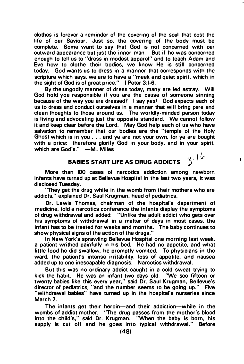clothes is forever a reminder of the covering of the soul that cost the life of our Saviour. Just so, the covering of the body must be complete. Some want to say that God is not concerned with our outward appearance but just the inner man. But if he was concerned enough to tell us to "dress in modest apparel" and to teach Adam and Eve how to clothe their bodies, we know He is still concerned today. God wants us to dress in a manner that corresponds with the scripture which says, we are to have a "meek and quiet spirit, which in the sight of God is of great price." I Peter 3:1-6.

By the ungodly manner of dress today, many are led astray. Will God hold you responsible if you are the cause of someone sinning because of the way you are dressed? I say yes! God expects each of us to dress and conduct ourselves in a manner that will bring pure and clean thoughts to those around us. The worldly-minded person today is living and advocating just the opposite standard. We cannot follow it and keep clear before the Lord. May God help each of us who have salvation to remember that our bodies are the "temple of the Holy Ghost which is in you ... and ye are not your own, for ye are bought with a price: therefore glorify God in your body, and in your spirit, which are  $God's. " -M.$  Miles  $3/16$ 

### BABIES START LIFE AS DRUG ADDICTS

More than 100 cases of narcotics addiction among newborn infants have turned up at Bellevue Hospital in the last two years, it was disclosed Tuesday.

"They get the drug while in the womb from their mothers who are addicts," explained Or. Saul Krugman, head of pediatrics.

Dr. Lewis Thomas, chairman of the hospital's department of medicine, told a narcotics conference the infants display the symptoms of drug withdrawal and added: "Unl ike the adult addict who gets over his symptoms of withdrawal in a matter of days in most cases, the infant has to be treated for weeks and months. The baby continues to show physical signs of the action of the drugs."

In New York's sprawling Bellevue Hospital one morning last week, a patient writhed painfully in his bed. He had no appetite, and what little food he did swallow, he promptly vomited. To physicians in the ward, the patient's intense irritability, Joss of appetite, and nausea added up to one inescapable diagnosis: Narcotics withdrawal.

But this was no ordinary addict caught in a cold sweat trying to kick the habit. He was an infant two days old. "We see fifteen or twenty babies like this every year," said Dr. Saul Krugman, Bellevue's director of pediatrics, "and the number seems to be going up." Five "withdrawal babies" have turned up in the hospital's nurseries since March 2.

The infants get their heroin-and their addiction-while in the wombs of addict mother. "The drug passes from the mother's blood into the child's," said Dr. Krugman. "When the baby is born, his supply is cut off and he goes into typical withdrawal." Before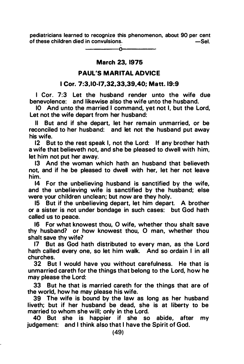pediatricians learned to recognize this phenomenon, about 90 per cent of these children died in convulsions $-Sel.$ 

> -------- 0<del>-----------</del>-

#### March 23, 1975

#### PAUL'S MARITAL ADVICE

#### I Cor. 7:3,10-17,32,33,39,40; Matt. 19:9

I Cor. 7:3 Let the husband render unto the wife due benevolence: and likewise also the wife unto the husband.

10 And unto the married I command, yet not I, but the Lord, Let not the wife depart from her husband:

II But and if she depart, let her remain unmarried, or be reconciled to her husband: and let not the husband put away his wife.

12 But to the rest speak I, not the Lord: If any brother hath a wife that believeth not, and she be pleased to dwell with him, let him not put her away.

13 And the woman which hath an husband that believeth not, and if he be pleased to dwell with her, let her not leave him.

14 For the unbelieving husband is sanctified by the wife, and the unbelieving wife is sanctified by the husband; else were your children unclean; but now are they holy.

15 But if the unbelieving depart, let him depart. A brother or a sister is not under bondage in such cases: but God hath called us to peace.

16 For what knowest thou, 0 wife, whether thou shalt save thy husband? or how knowest thou, 0 man, whether thou shalt save thy wife?

17 But as God hath distributed to every man, as the Lord hath called every one, so let him walk. And so ordain I in all churches.

32 But I would have you without carefulness. He that is unmarried careth for the things that belong to the Lord, how he may please the Lord:

33 But he that is married careth for the things that are of the world, how he may please his wife.

39 The wife is bound by the law as long as her husband liveth; but if her husband be dead, she is at liberty to be married to whom she will; only in the Lord.

40 But she is happier if she so abide, after my judgement: and I think also that I have the Spirit of God.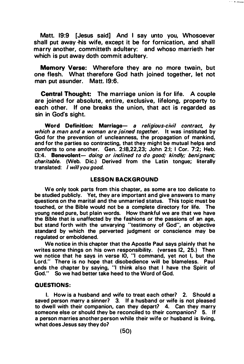Matt. 19:9 [Jesus said] And I say unto you, Whosoever shall put away his wife, except it be for fornication, and shall marry another, committeth adultery: and whoso marrieth her which is put away doth commit adultery.

Memory Verse: Wherefore they are no more twain, but one flesh. What therefore God hath joined together, let not man put asunder. Matt. 19:6.

Central Thought: The marriage union is for life. A couple are joined for absolute, entire, exclusive, lifelong, property to each other. If one breaks the union, that act is regarded as sin in God's sight.

Word Definition: Marriage- a religious-civil contract, by which a man and a woman are joined together. It was instituted by God for the prevention of uncleanness, the propagation of mankind, and for the parties so contracting, that they might be mutual helps and comforts to one another. Gen. 2:18,22,23; John 2:1; I Cor. 7:2; Heb. 13:4. Benevolent- doing or inclined to do good; kindly; benignant; charitable. (Web. Dic.) Derived from the Latin tongue; literally translated: I will you good.

#### LESSON BACKGROUND

We only took parts from this chapter, as some are too delicate to be studied publicly. Yet, they are important and give answers to many questions on the marital and the unmarried status. This topic must be touched, or the Bible would not be a complete directory for life. The young need pure, but plain words. How thankful we are that we have the Bible that is unaffected by the fashions or the passions of an age, but stand forth with the unvarying "testimony of God", an objective standard by which the perverted judgment or conscience may be regulated or emboldened.

We notice in this chapter that the Apostle Paul says plainly that he writes some things on his own responsibility. (verses 12, 25.) Then we notice that he says in verse 10, "I command, yet not I, but the Lord." There is no hope that disobedience will be blameless. Paul ends the chapter by saying, "I think also that I have the Spirit of God." So we had better take heed to the Word of God.

#### QUESTIONS:

I. How is a husband and wife to treat each other? 2. Should a saved person marry a sinner? 3. If a husband or wife is not pleased to dwell with their companion, can they depart? 4. Can they marry someone else or should they be reconciled to their companion? 5. If a person marries another person while their wife or husband is living, what does Jesus say they do?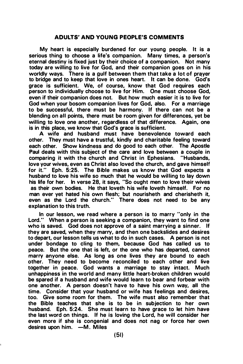#### ADULTS' AND YOUNG PEOPLE'S COMMENTS

My heart is especially burdened for our young people. It is a serious thing to choose a life's companion. Many times, a person's eternal destiny is fixed just by their choice of a companion. Not many today are willing to live for God, and their companion goes on in his worldly ways. There is a gulf between them that take a lot of prayer to bridge and to keep that love in ones heart. It can be done. God's grace is sufficient. We, of course, know that God requires each person to individually choose to live for Him. One must choose God, even if their companion does not. But how much easier it is to live for God when your bosom companion lives for God, also. For a marriage to be successful, there must be harmony. If there can not be a blending on all points, there must be room given for differences, yet be willing to love one another, regardless of that difference. Again, one is in this place, we know that God's grace is sufficient.

A wife and husband must have benevolence toward each other. They must have a trustful, kindly and charitable feeling toward each other. Show kindness and do good to each other. The Apostle Paul deals with this subject of the care and love between a couple in comparing it with the church and Christ in Ephesians. "Husbands, love your wives, even as Christ also loved the church, and gave himself for it." Eph. 5:25. The Bible makes us know that God expects a husband to love his wife so much that he would be willing to lay down his life for her. In verse 28, it says, "So ought men to love their wives as their own bodies. He that loveth his wife loveth himself. For no man ever yet hated his own flesh; but nourisheth and cherisheth it, even as the Lord the church." There does not need to be any explanation to this truth.

In our lesson, we read where a person is to marry "only in the Lord." When a person is seeking a companion, they want to find one who is saved. God does not approve of a saint marrying a sinner. If they are saved, when they marry, and then one backslides and desires to depart, our lesson tells us what to do in such cases. A person is not under bondage to cling to them, because God has called us to peace. But the one that is left, or the one who has departed, cannot marry anyone else. As long as one lives they are bound to each other. They need to become reconciled to each other and live together in peace. God wants a marriage to stay intact. Much unhappiness in the world and many little heart-broken children would be spared if a husband and wife would learn to bear and forbear with one another. A person doesn't have to have his own way, all the time. Consider that your husband or wife has feelings and desires, too. Give some room for them. The wife must also remember that the Bible teaches that she is to be in subjection to her own husband. Eph. 5:24. She must learn to have grace to let him have the last word on things. If he is loving the Lord, he will consider her even more if she is congenial and does not nag or force her own desires upon  $him. -M.$  Miles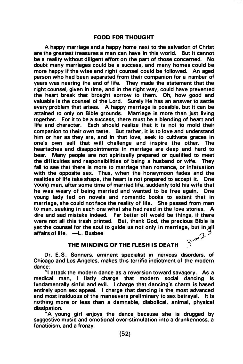#### FOOD FOR THOUGHT

A happy marriage and a happy home next to the salvation of Christ are the greatest treasures a man can have in this world. But it cannot be a reality without diligent effort on the part of those concerned. No doubt many marriages could be a success, and many homes could be more happy if the wise and right counsel could be followed. An aged person who had been separated from their companion for a number of years was nearing the end of life. They made the statement that the right counsel, given in time, and in the right way, could have prevented the heart break that brought sorrow to them. Oh, how good and valuable is the counsel of the Lord. Surely He has an answer to settle every problem that arises. A happy marriage is possible, but it can be attained to only on Bible grounds. Marriage is more than just living together. For it to be a success, there must be a blending of heart and life and character. Each should realize that it is not to mold their companion to their own taste. But rather, it is to love and understand him or her as they are, and in that love, seek to cultivate graces in one's own self that will challenge and inspire the other. The heartaches and disappointments in marriage are deep and hard to bear. Many people are not spiritually prepared or qualified to meet the difficulties and responsibilities of being a husband or wife. They fail to see that there is more to marriage than romance, or infatuation with the opposite sex. Thus, when the honeymoon fades and the realities of life take shape, the heart is not prepared to accept it. One young man, after some time of married life, suddenly told his wife that he was weary of being married and wanted to be free again. One young lady fed on novels and romantic books to extent that in marriage, she could not face the reality of life. She passed from man to man, seeking in each one what she had read in the love stories. A dire and sad mistake indeed. Far better off would be things, if there were not all this trash printed. But, thank God, the precious Bible is yet the counsel for the soul to guide us not only in marriage, but in all affairs of life. -L. Busbee.  $2.7$ 

#### THE MINDING OF THE FLESH IS DEATH

)

Dr. E.S. Sonners, eminent specialist in nervous disorders, of Chicago and Los Angeles, makes this terrific indictment of the modern dance:

"I attack the modern dance as a reversion toward savagery. As a medical man, I flatly charge that modern social dancing is fundamentally sinful and evil. I charge that dancing's charm is based entirely upon sex appeal. I charge that dancing is the most advanced and most insiduous of the maneuvers preliminary to sex betrayal. It is nothing more or less than a damnable, diabolical, animal, physical dissipation.

"A young girl enjoys the dance because she is drugged by suggestive music and emotional over-stimulation into a drunkenness, a fanaticism, and a frenzy.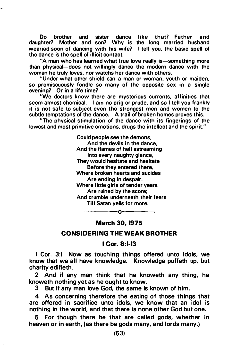Do brother and sister dance like that? Father and daughter? Mother and son? Why is the long married husband wearied soon of dancing with his wife? I tell you, the basic spell of the dance is the spell of illicit contact.

"A man who has learned what true love really is-something more than physical-does not willingly dance the modern dance with the woman he truly loves, nor watchs her dance with others.

"Under what other shield can a man or woman, youth or maiden, so promiscuously fondle so many of the opposite sex in a single evening? Or in a life time?

'We doctors know there are mysterious currents, affinities that seem almost chemical. I am no prig or prude, and so I tell you frankly it is not safe to subject even the strongest men and women to the subtle temptations of the dance. A trail of broken homes proves this.

''The physical stimulation of the dance with its fingerings of the lowest and most primitive emotions, drugs the intellect and the spirit."

> Could people see the demons, And the devils in the dance, And the flames of hell astreaming Into every naughty glance, They would hesitate and hesitate Before they entered there, Where broken hearts and sucides Are ending in despair. Where little girls of tender years Are ruined by the score; And crumble underneath their fears Till Satan yells for more.

## --------- 0�------- March 30. 1975

#### CONSIDERING THE WEAK BROTHER

#### I Cor. 8:1-13

I Cor. 3:1 Now as touching things offered unto idols, we know that we all have knowledge. Knowledge puffeth up, but charity edifieth.

2 And if any man think that he knoweth any thing, he knoweth nothing yet as he ought to know.

3 But if any man love God, the same is known of him.

4 As concerning therefore the eating of those things that are offered in sacrifice unto idols, we know that an idol is nothing in the world, and that there is none other God but one.

5 For though there be that are called gods, whether in heaven or in earth, (as there be gods many, and lords many.}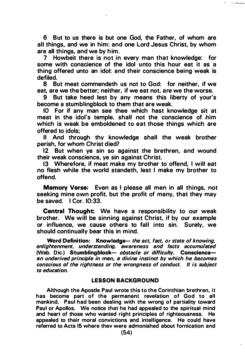6 But to us there is but one God, the Father, of whom are all things, and we in him: and one Lord Jesus Christ, by whom are all things, and we by him.<br>7 Howbeit there is not in

7 Howbeit there is not in every man that knowledge: for some with conscience of the idol unto this hour eat it as a thing offered unto an idol: and their conscience being weak is defiled.

8 But meat commendeth us not to God: for neither, if we eat, are we the better; neither, if we eat not, are we the worse.

9 But take heed lest by any means this liberty of your's become a stumblingblock to them that are weak.

10 For if any man see thee which hast knowledge sit at meat in the idol's temple, shall not the conscience of him which is weak be emboldened to eat those things which are offered to idols;

II And through thy knowledge shall the weak brother perish, for whom Christ died?

12 But when ye sin so against the brethren, and wound their weak conscience, ye sin against Christ.

13 Wherefore, if meat make my brother to offend, I will eat no flesh while the world standeth, lest I make my brother to offend.

Memory Verse: Even as I please all men in all things, not seeking mine own profit. but the profit of many, that they may be saved. I Cor. 10:33.

Central Thought: We have a responsibility to our weak brother. We will be sinning against Christ, if by our example or influence, we cause others to fall into sin. Surely, we should continually bear this in mind.

Word Definition: Knowledge- the act, fact, or state of knowing, enlightenment, understanding. awareness and facts accumulated (Web. Dic.) Stumblingblock- obstacle or difficulty. Conscienceen underived principle in men, e divine instinct by which he becomes conscious of the rightness or the wrongness of conduct. It is subject to education.

#### LESSON BACKGROUND

Although the Apostle Paul wrote this to the Corinthian brethren, it has become part of the permanent revelation of God to all mankind. Paul had been dealing with the wrong of partiality toward Paul or Apollos. We notice that he had appealed to the spiritual mind and heart of those who wanted right principles of righteousness. He appealed to their moral convictions and intelligence. He could have referred to Acts 15 where thev were admonished about fornication and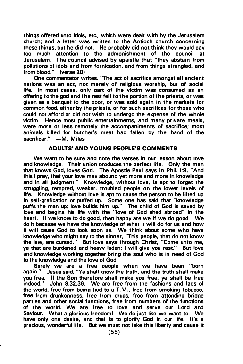things offered unto idols, etc., which were dealt with by the Jerusalem church; and a letter was written to the Antioch church concerning these things, but he did not. He probably did not think they would pay too much attention to the admonishment of the council at Jerusalem. The council advised by epeistle that "they abstain from pollutions of idols and from fornication, and from things strangled, and from blood." (verse 20)

One commentator writes. "The act of sacrifice amongst all ancient nations was an act, not merely of religious worship, but of social life. In most cases, only oart of the victim was consumed as an offering to the god and the rest fell to the portion of the priests, or was given as a banquet to the poor. or was sold again in the markets for common food, either by the priests, or for such sacrifices for those who could not afford or did not wish to undergo the expense of the whole victim. Hence most public entertainments, and many private meals, were more or less remotely the accompaniments of sacrifice; most animals killed for butcher's meat had fallen by the hand of the sacrificer." -M. Miles

#### ADULTS' AND YOUNG PEOPLE'S COMMENTS

We want to be sure and note the verses in our lesson about love and knowledge. Their union produces the perfect life. Only the man that knows God, loves God. The Apostle Paul says in Phil. 1:9, "And this I pray, that your love mav abound yet more and more in knowledge and in all judgment." Knowledge, without love, is apt to forget the struggling, tempted, weaker. troubled people on the lower levels of life. Knowledge without love is apt to cause the person to be lifted up in self-grafication or puffed up. Some one has said that "knowledge puffs the man up; love builds him up." The child of God is saved by love and begins his life with the "love of God shed abroad" in the heart. If we know to do good. then happy are we if we do good. We do it because we have the knowledge of what it will do for us and how it will cause God to look uoon us. We think about some who have knowledge who might say to the sinner, ''This people, that do not know the law, are cursed." But love says through Christ, "Come unto me, ye that are burdened and heavv laden; I will give you rest." But love and knowledge working together bring the soul who is in need of God to the knowledge and the love of God.

Surely we are a free people when we have been "born again." Jesus said, ''Ye shall know the truth, and the truth shall make you free. If the Son therefore shall make you free, ye shall be free indeed." John 8:32,36. We are free from the fashions and fads of the world, free from being tied to a  $T.V.,$  free from smoking tobacco, free from drunkenness, free from drugs, free from attending bridge parties and other social functions, free from numbers of the functions of the world. We are free to love and serve our lord and Saviour. What a glorious freedoml We do just like we want to. We have only one desire, and that is to glorify God in our life. It's a precious, wonderful life. But we must not take this liberty and cause it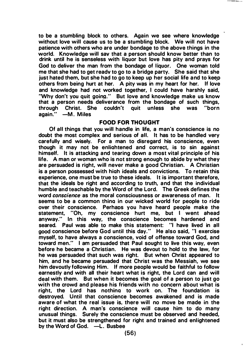to be a stumbling block to others. Again we see where knowledge without love wilt cause us to be a stumbling block. We wilt not have patience with others who are under bondage to the above things in the world. Knowledge wilt sav that a person should know better than to drink until he is senseless with liquor but love has pity and prays for God to deliver the man from the bondage of liquor. One woman told me that she had to get readv to go to a bridge party. She said that she just hated them, but she had to go to keep up her social life and to keep others from being hurt at her. A pity was in my heart for her. If love and knowledge had not worked together, I could have harshly said, 'Why don't you quit going." But love and knowledge make us know that a person needs deliverance from the bondage of such things,<br>through Christ. She couldn't quit unless she was "born through Christ. She couldn't quit unless she was again." - M. Miles

#### FOOD FOR THOUGHT

Of all things that you will handle in life, a man's conscience is no doubt the most complex and serious of all. It has to be handled very carefully and wisely. For a man to disregard his conscience, even though it may not be enliahtened and correct, is to sin against himself. It is attacking and tearing down a most vital principle of his life. A man or woman who is not strong enough to abide by what they are persuaded is right, will never make a good Christian. A Christian is a person possessed with hiah ideals and convictions. To retain this experience, one must be true to these ideals. It is important therefore, that the ideals be right and according to truth, and that the individual humble and teachable by the Word of the Lord. The Greek defines the word conscience as the moral consciousness or awareness of man. It seems to be a common thina in our wicked world for people to ride over their conscience. Perhaos you have heard people make the statement, "Oh, my conscience hurt me, but I went ahead anyway." In this way, the conscience becomes hardened and seared. Paul was able to make this statement: "I have lived in all good conscience before God until this day." He also said, "I exercise myself, to have always a conscience, void of offense toward God, and toward men." I am persuaded that Paul sought to live this way, even before he became a Christian. He was devout to hold to the law, for he was persuaded that such was right. But when Christ appeared to him. and he became persuaded that Christ was the Messiah, we see him devoutly following Him. If more people would be faithful to follow earnestly and with all their heart what is right, the Lord can and will deal with them. But when it becomes the goal of a person to just go with the crowd and please his friends with no concern about what is right, the Lord has nothina to work on. The foundation is destroyed. Until that conscience becomes awakened and is made aware of what the real issue is, there wilt no move be made in the right direction. A man's conscience wilt cause him to do many unusual things. Surely the conscience must be observed and heeded, but it must also be strengthened for right and trained and enlightened by the Word of God.  $-L$ . Busbee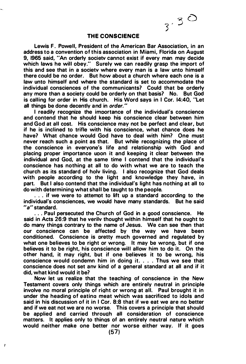$3^{7}30$ 

#### THE CONSCIENCE

Lewis F. Powell, President of the American Bar Association, in an address to a convention of this association in Miami, Florida on August 9, 1965 said, "An orderly societv cannot exist if every man may decide which laws he will obey." Surely we can readily grasp the import of this and see that in a societv where every man is a law unto himself there could be no order. But how about a church where each one is a law unto himself and where the standard is set to accommodate the individual consciences of the communicants? Could that be orderly any more than a society could be orderly on that basis? No. But God is calling for order in His church. His Word says in I Cor. 14:40, "Let all things be done decently and in order."

I readily recognize the imoortance of the individual's conscience and contend that he should keep his conscience clear between him and God at all cost. His conscience may not be perfect and clear, but if he is inclined to trifle with his conscience, what chance does he have? What chance would God have to deal with him? One must never reach such a point as that. But while recognizing the place of the conscience in everyone's life and relationship with God and placing proper importance uoon it and keeping it clear between the individual and God, at the same time I contend that the individual's conscience has nothing at all to do with what we are to teach the church as its standard of holv living. I also recognize that God deals with people according to the light and knowledge they have, in part. But I also contend that the individual's light has nothing at all to do with determining what shall be taught to the people.

. . . if we were to attemot to lift up a standard according to the individual's consciences, we would have many standards. But he said "a" standard.

. . . Paul persecuted the Church of God in a good conscience. He said in Acts 26:9 that he verilv thought within himself that he ought to do many things contrary to the name of Jesus. We can see then that our conscience can be affected by the way we have been conditioned. Conscience is oretty much governed and regulated by what one believes to be right or wrong. It may be wrong, but if one believes it to be right, his conscience will allow him to do it. On the other hand, it may right, but if one believes it to be wrong, his conscience would condemn him in doing it. . . . Thus we see that conscience does not set anv kind of a general standard at all and if it did, what kind would it be7

Now let us realize that the teaching of conscience in the New Testament covers only things which are entirely neutral in principle involve no moral principle of riqht or wrong at all. Paul brought it in under the heading of eatino meat which was sacrificed to idols and said in his discussion of it in I Cor. 8:8 that if we eat we are no better and if we eat not we are no worse. This covers a principle that should be applied and carried throuqh all consideration of conscience matters. It applies only to thinqs of an entirely neutral nature which would neither make one better nor worse either way. If it goes

f,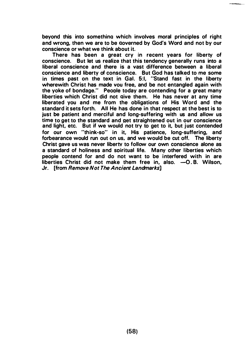beyond this into somethina which involves moral principles of right and wrong, then we are to be aoverned by God's Word and not by our conscience or what we think about it.

There has been a great cry in recent years for liberty of conscience. But let us realize that this tendency generally runs into a liberal conscience and there is a vast difference between a liberal conscience and liberty of conscience. But God has talked to me some in times past on the text in Gal. 5:1, "Stand fast in the liberty wherewith Christ has made vou free, and be not entangled again with the yoke of bondage." Peoole today are contending for a great many liberties which Christ did not aive them. He has never at any time liberated you and me from the obligations of His Word and the standard it sets forth. All He has done in that respect at the best is to just be patient and merciful and long-suffering with us and allow us time to get to the standard and net straightened out in our conscience and light, etc. But if we would not try to get to it, but just contended for our own "think-so" in it, His patience, long-suffering, and forbearance would run out on us, and we would be cut off. The liberty Christ gave us was never libertv to follow our own conscience alone as a standard of holiness and soiritual life. Many other liberties which people contend for and do not want to be interfered with in are liberties Christ did not make them free in, also.  $-0.8$ . Wilson, Jr. [from Remove Not The Ancient Landmarks]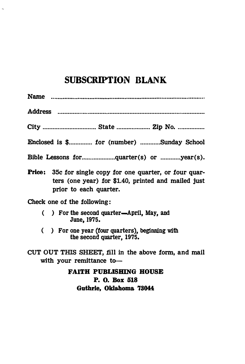## SUBSCRIPTION BLANK

L,

| Name …………………………………………………………………………………                                                                                                              |
|---------------------------------------------------------------------------------------------------------------------------------------------------|
|                                                                                                                                                   |
|                                                                                                                                                   |
| Enclosed is \$ for (number) Sunday School                                                                                                         |
|                                                                                                                                                   |
| <b>Price:</b> 35c for single copy for one quarter, or four quar-<br>ters (one year) for \$1.40, printed and mailed just<br>prior to each quarter. |
| Check one of the following:                                                                                                                       |
| () For the second quarter—April, May, and<br>June, 1975.                                                                                          |
| ) For one year (four quarters), beginning with<br>€<br>the second quarter, 1975.                                                                  |
| CUT OUT THIS SHEET, fill in the above form, and mail<br>with your remittance to-                                                                  |
| <b>FAITH PUBLISHING HOUSE</b><br>P. O. Box 518<br>Guthrie, Oklahoma 73044                                                                         |
|                                                                                                                                                   |